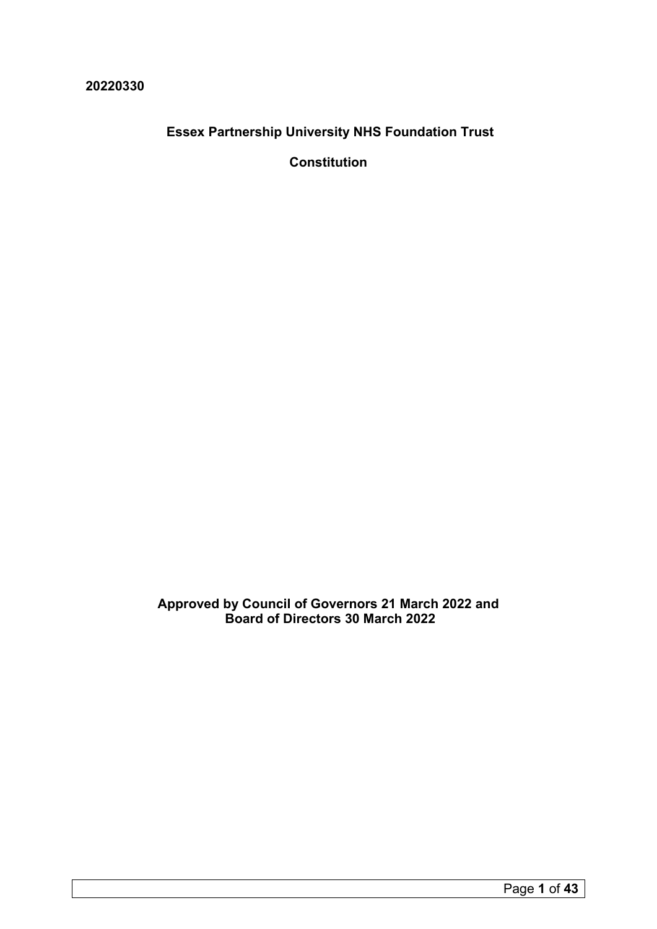**20220330**

**Essex Partnership University NHS Foundation Trust**

**Constitution** 

**Approved by Council of Governors 21 March 2022 and Board of Directors 30 March 2022**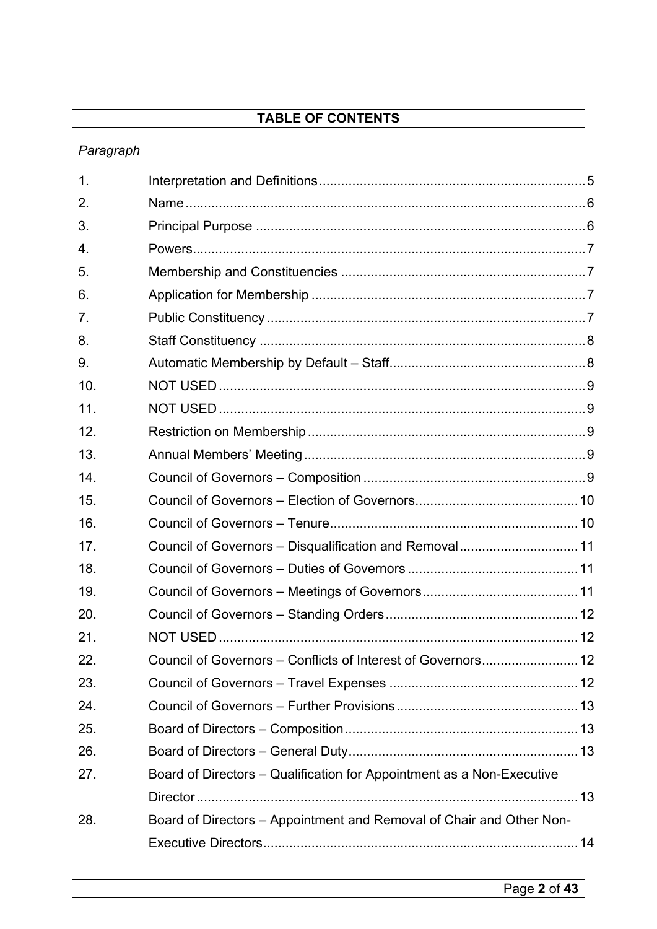# **TABLE OF CONTENTS**

# *Paragraph*

| $\mathbf{1}$ . |                                                                       |  |
|----------------|-----------------------------------------------------------------------|--|
| 2.             |                                                                       |  |
| 3.             |                                                                       |  |
| 4.             |                                                                       |  |
| 5.             |                                                                       |  |
| 6.             |                                                                       |  |
| 7.             |                                                                       |  |
| 8.             |                                                                       |  |
| 9.             |                                                                       |  |
| 10.            |                                                                       |  |
| 11.            |                                                                       |  |
| 12.            |                                                                       |  |
| 13.            |                                                                       |  |
| 14.            |                                                                       |  |
| 15.            |                                                                       |  |
| 16.            |                                                                       |  |
| 17.            | Council of Governors - Disqualification and Removal 11                |  |
| 18.            |                                                                       |  |
| 19.            |                                                                       |  |
| 20.            |                                                                       |  |
| 21.            |                                                                       |  |
| 22             |                                                                       |  |
| 23.            |                                                                       |  |
| 24.            |                                                                       |  |
| 25.            |                                                                       |  |
| 26.            |                                                                       |  |
| 27.            | Board of Directors - Qualification for Appointment as a Non-Executive |  |
|                |                                                                       |  |
| 28.            | Board of Directors - Appointment and Removal of Chair and Other Non-  |  |
|                |                                                                       |  |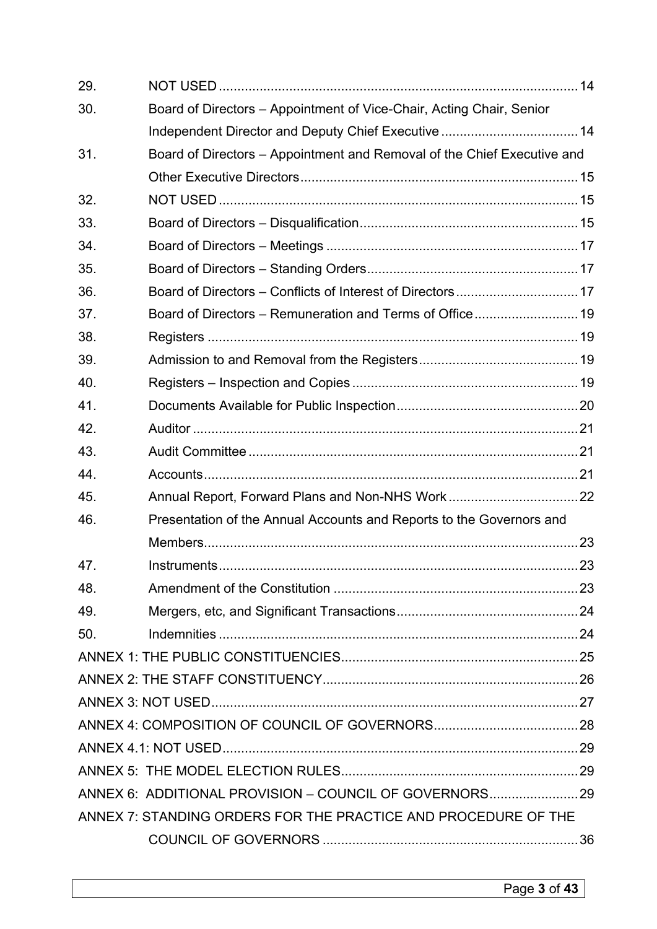| 29. |                                                                         |  |
|-----|-------------------------------------------------------------------------|--|
| 30. | Board of Directors - Appointment of Vice-Chair, Acting Chair, Senior    |  |
|     |                                                                         |  |
| 31. | Board of Directors - Appointment and Removal of the Chief Executive and |  |
|     |                                                                         |  |
| 32. |                                                                         |  |
| 33. |                                                                         |  |
| 34. |                                                                         |  |
| 35. |                                                                         |  |
| 36. |                                                                         |  |
| 37. |                                                                         |  |
| 38. |                                                                         |  |
| 39. |                                                                         |  |
| 40. |                                                                         |  |
| 41. |                                                                         |  |
| 42. |                                                                         |  |
| 43. |                                                                         |  |
| 44. |                                                                         |  |
| 45. |                                                                         |  |
| 46. | Presentation of the Annual Accounts and Reports to the Governors and    |  |
|     |                                                                         |  |
| 47. |                                                                         |  |
| 48. |                                                                         |  |
| 49. |                                                                         |  |
| 50. |                                                                         |  |
|     |                                                                         |  |
|     |                                                                         |  |
|     |                                                                         |  |
|     |                                                                         |  |
|     |                                                                         |  |
|     |                                                                         |  |
|     | ANNEX 6: ADDITIONAL PROVISION - COUNCIL OF GOVERNORS 29                 |  |
|     | ANNEX 7: STANDING ORDERS FOR THE PRACTICE AND PROCEDURE OF THE          |  |
|     |                                                                         |  |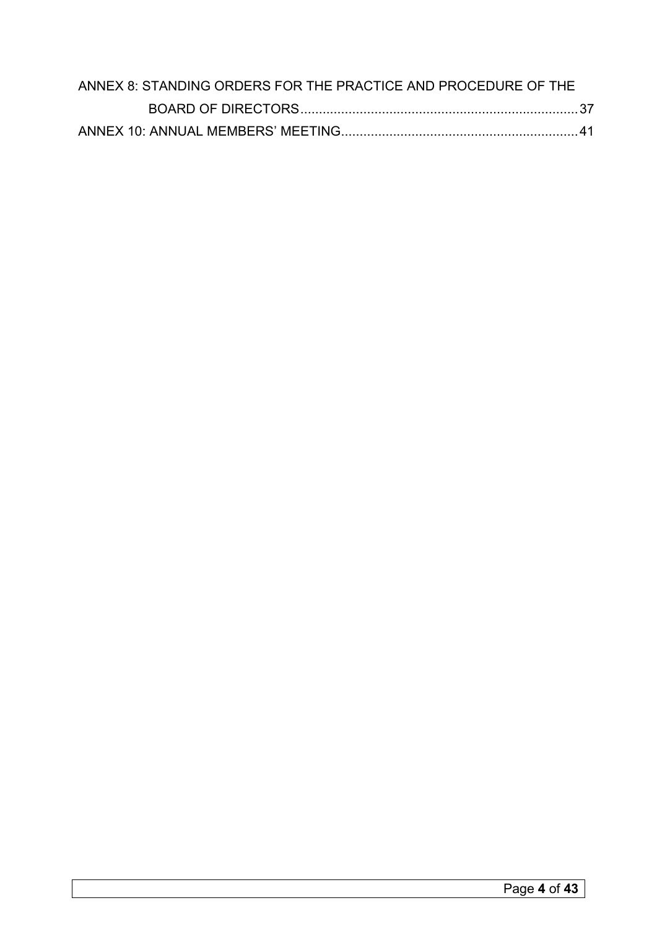| ANNEX 8: STANDING ORDERS FOR THE PRACTICE AND PROCEDURE OF THE |  |
|----------------------------------------------------------------|--|
|                                                                |  |
|                                                                |  |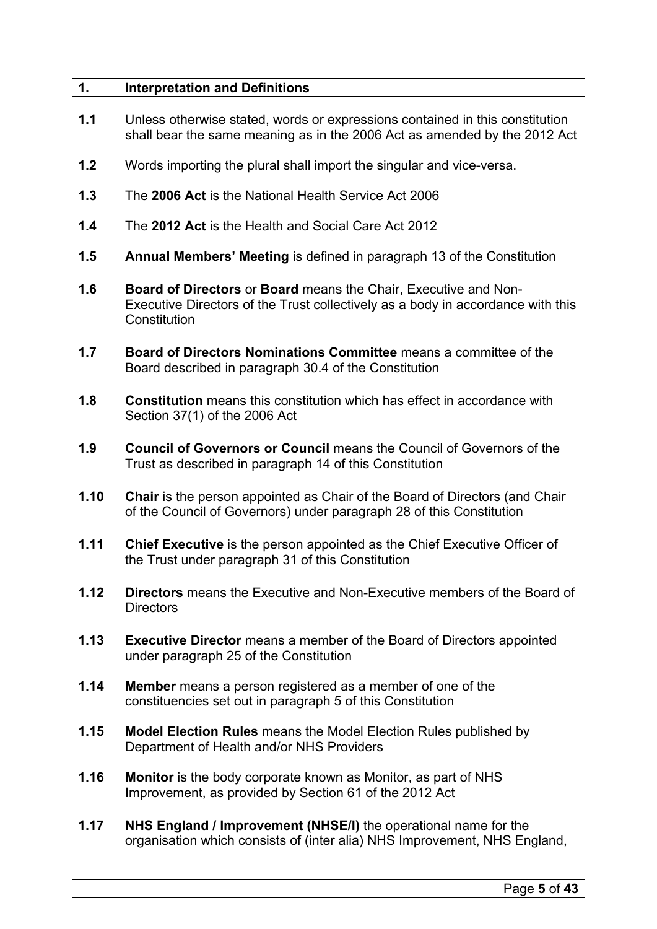# <span id="page-4-0"></span>**1. Interpretation and Definitions**

- **1.1** Unless otherwise stated, words or expressions contained in this constitution shall bear the same meaning as in the 2006 Act as amended by the 2012 Act
- **1.2** Words importing the plural shall import the singular and vice-versa.
- **1.3** The **2006 Act** is the National Health Service Act 2006
- **1.4** The **2012 Act** is the Health and Social Care Act 2012
- **1.5 Annual Members' Meeting** is defined in paragraph 13 of the Constitution
- **1.6 Board of Directors** or **Board** means the Chair, Executive and Non-Executive Directors of the Trust collectively as a body in accordance with this **Constitution**
- **1.7 Board of Directors Nominations Committee** means a committee of the Board described in paragraph 30.4 of the Constitution
- **1.8 Constitution** means this constitution which has effect in accordance with Section 37(1) of the 2006 Act
- **1.9 Council of Governors or Council** means the Council of Governors of the Trust as described in paragraph 14 of this Constitution
- **1.10 Chair** is the person appointed as Chair of the Board of Directors (and Chair of the Council of Governors) under paragraph 28 of this Constitution
- **1.11 Chief Executive** is the person appointed as the Chief Executive Officer of the Trust under paragraph 31 of this Constitution
- **1.12 Directors** means the Executive and Non-Executive members of the Board of Directors
- **1.13 Executive Director** means a member of the Board of Directors appointed under paragraph 25 of the Constitution
- **1.14 Member** means a person registered as a member of one of the constituencies set out in paragraph 5 of this Constitution
- **1.15 Model Election Rules** means the Model Election Rules published by Department of Health and/or NHS Providers
- **1.16 Monitor** is the body corporate known as Monitor, as part of NHS Improvement, as provided by Section 61 of the 2012 Act
- **1.17 NHS England / Improvement (NHSE/I)** the operational name for the organisation which consists of (inter alia) NHS Improvement, NHS England,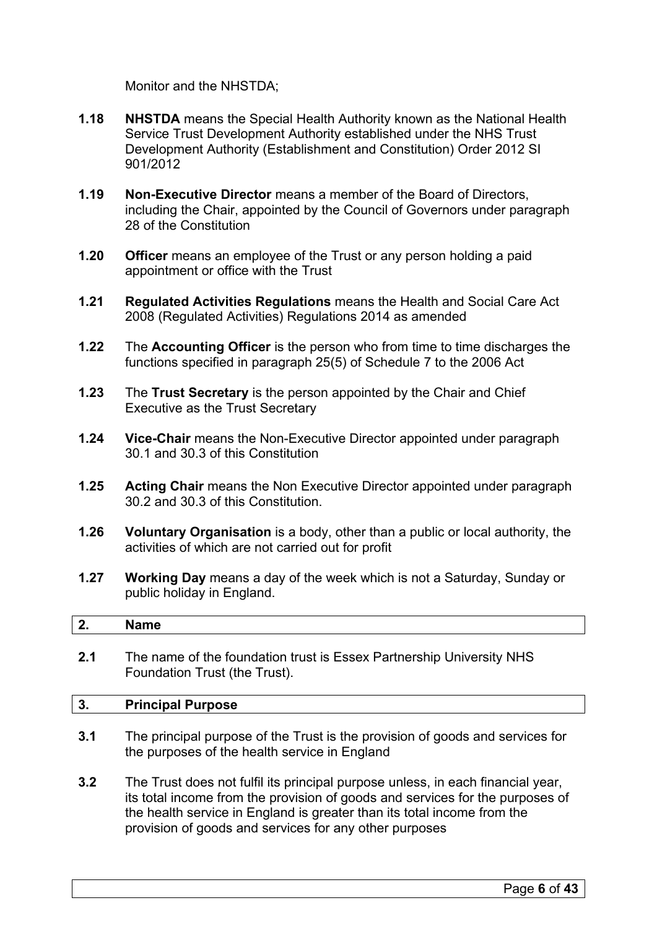Monitor and the NHSTDA;

- **1.18 NHSTDA** means the Special Health Authority known as the National Health Service Trust Development Authority established under the NHS Trust Development Authority (Establishment and Constitution) Order 2012 SI 901/2012
- **1.19 Non-Executive Director** means a member of the Board of Directors, including the Chair, appointed by the Council of Governors under paragraph 28 of the Constitution
- **1.20 Officer** means an employee of the Trust or any person holding a paid appointment or office with the Trust
- **1.21 Regulated Activities Regulations** means the Health and Social Care Act 2008 (Regulated Activities) Regulations 2014 as amended
- **1.22** The **Accounting Officer** is the person who from time to time discharges the functions specified in paragraph 25(5) of Schedule 7 to the 2006 Act
- **1.23** The **Trust Secretary** is the person appointed by the Chair and Chief Executive as the Trust Secretary
- **1.24 Vice-Chair** means the Non-Executive Director appointed under paragraph 30.1 and 30.3 of this Constitution
- **1.25 Acting Chair** means the Non Executive Director appointed under paragraph 30.2 and 30.3 of this Constitution.
- **1.26 Voluntary Organisation** is a body, other than a public or local authority, the activities of which are not carried out for profit
- **1.27 Working Day** means a day of the week which is not a Saturday, Sunday or public holiday in England.

# <span id="page-5-0"></span>**2. Name**

**2.1** The name of the foundation trust is Essex Partnership University NHS Foundation Trust (the Trust).

#### <span id="page-5-1"></span>**3. Principal Purpose**

- **3.1** The principal purpose of the Trust is the provision of goods and services for the purposes of the health service in England
- **3.2** The Trust does not fulfil its principal purpose unless, in each financial year, its total income from the provision of goods and services for the purposes of the health service in England is greater than its total income from the provision of goods and services for any other purposes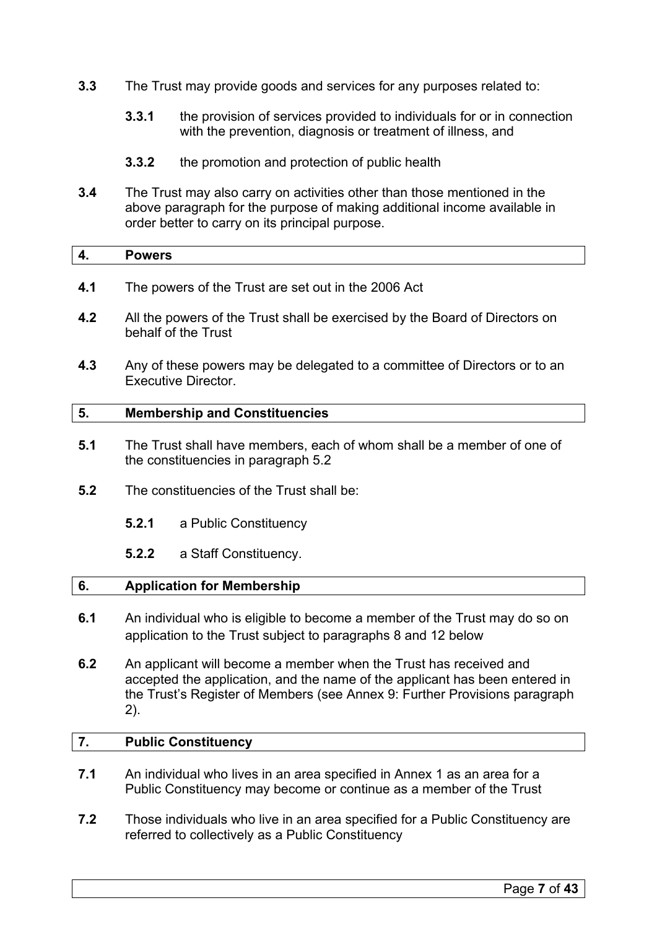- **3.3** The Trust may provide goods and services for any purposes related to:
	- **3.3.1** the provision of services provided to individuals for or in connection with the prevention, diagnosis or treatment of illness, and
	- **3.3.2** the promotion and protection of public health
- **3.4** The Trust may also carry on activities other than those mentioned in the above paragraph for the purpose of making additional income available in order better to carry on its principal purpose.

<span id="page-6-0"></span>

- **4.1** The powers of the Trust are set out in the 2006 Act
- **4.2** All the powers of the Trust shall be exercised by the Board of Directors on behalf of the Trust
- **4.3** Any of these powers may be delegated to a committee of Directors or to an Executive Director.

# <span id="page-6-1"></span>**5. Membership and Constituencies**

- **5.1** The Trust shall have members, each of whom shall be a member of one of the constituencies in paragraph 5.2
- **5.2** The constituencies of the Trust shall be:
	- **5.2.1** a Public Constituency
	- **5.2.2** a Staff Constituency.

# <span id="page-6-2"></span>**6. Application for Membership**

- **6.1** An individual who is eligible to become a member of the Trust may do so on application to the Trust subject to paragraphs 8 and 12 below
- **6.2** An applicant will become a member when the Trust has received and accepted the application, and the name of the applicant has been entered in the Trust's Register of Members (see Annex 9: Further Provisions paragraph 2).

# <span id="page-6-3"></span>**7. Public Constituency**

- **7.1** An individual who lives in an area specified in Annex 1 as an area for a Public Constituency may become or continue as a member of the Trust
- **7.2** Those individuals who live in an area specified for a Public Constituency are referred to collectively as a Public Constituency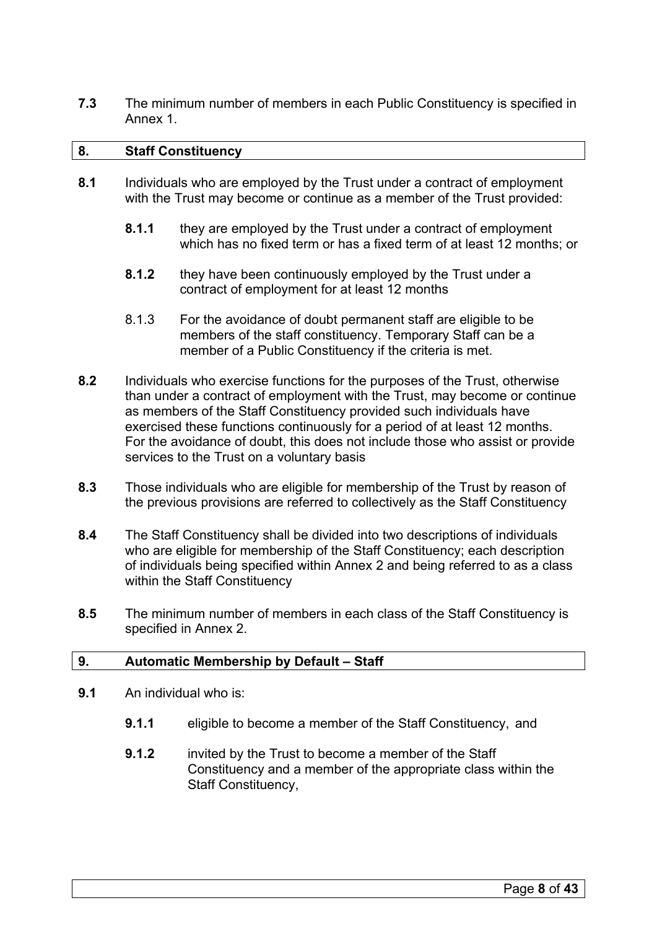**7.3** The minimum number of members in each Public Constituency is specified in Annex 1.

## <span id="page-7-0"></span>**8. Staff Constituency**

- **8.1** Individuals who are employed by the Trust under a contract of employment with the Trust may become or continue as a member of the Trust provided:
	- **8.1.1** they are employed by the Trust under a contract of employment which has no fixed term or has a fixed term of at least 12 months; or
	- **8.1.2** they have been continuously employed by the Trust under a contract of employment for at least 12 months
	- 8.1.3 For the avoidance of doubt permanent staff are eligible to be members of the staff constituency. Temporary Staff can be a member of a Public Constituency if the criteria is met.
- **8.2** Individuals who exercise functions for the purposes of the Trust, otherwise than under a contract of employment with the Trust, may become or continue as members of the Staff Constituency provided such individuals have exercised these functions continuously for a period of at least 12 months. For the avoidance of doubt, this does not include those who assist or provide services to the Trust on a voluntary basis
- **8.3** Those individuals who are eligible for membership of the Trust by reason of the previous provisions are referred to collectively as the Staff Constituency
- **8.4** The Staff Constituency shall be divided into two descriptions of individuals who are eligible for membership of the Staff Constituency; each description of individuals being specified within Annex 2 and being referred to as a class within the Staff Constituency
- **8.5** The minimum number of members in each class of the Staff Constituency is specified in Annex 2.

# <span id="page-7-1"></span>**9. Automatic Membership by Default – Staff**

- **9.1** An individual who is:
	- **9.1.1** eligible to become a member of the Staff Constituency, and
	- **9.1.2** invited by the Trust to become a member of the Staff Constituency and a member of the appropriate class within the Staff Constituency,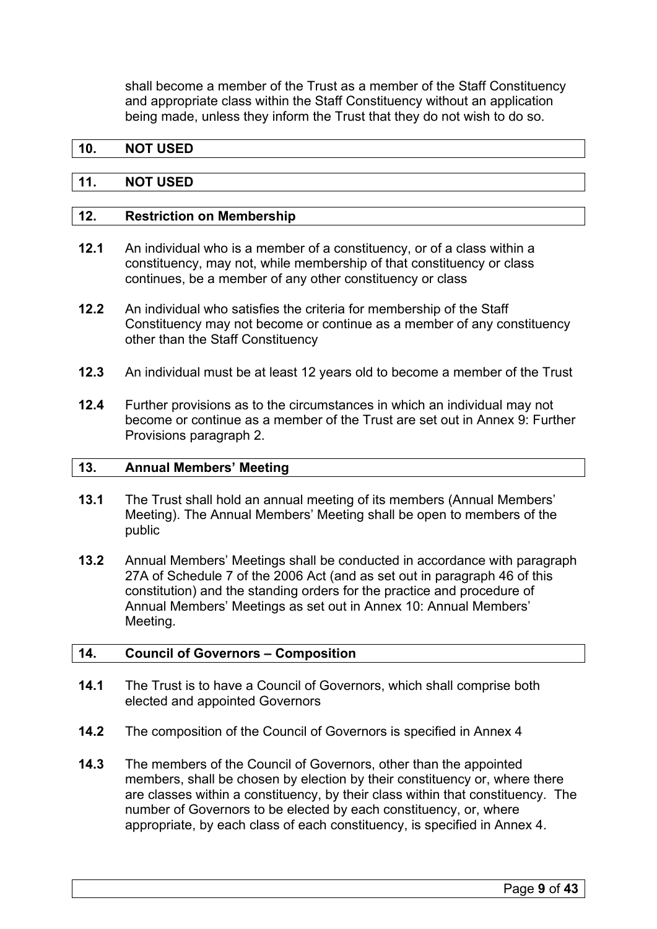shall become a member of the Trust as a member of the Staff Constituency and appropriate class within the Staff Constituency without an application being made, unless they inform the Trust that they do not wish to do so.

## <span id="page-8-0"></span>**10. NOT USED**

#### <span id="page-8-1"></span>**11. NOT USED**

# <span id="page-8-2"></span>**12. Restriction on Membership**

- **12.1** An individual who is a member of a constituency, or of a class within a constituency, may not, while membership of that constituency or class continues, be a member of any other constituency or class
- **12.2** An individual who satisfies the criteria for membership of the Staff Constituency may not become or continue as a member of any constituency other than the Staff Constituency
- **12.3** An individual must be at least 12 years old to become a member of the Trust
- **12.4** Further provisions as to the circumstances in which an individual may not become or continue as a member of the Trust are set out in Annex 9: Further Provisions paragraph 2.

#### <span id="page-8-3"></span>**13. Annual Members' Meeting**

- **13.1** The Trust shall hold an annual meeting of its members (Annual Members' Meeting). The Annual Members' Meeting shall be open to members of the public
- **13.2** Annual Members' Meetings shall be conducted in accordance with paragraph 27A of Schedule 7 of the 2006 Act (and as set out in paragraph 46 of this constitution) and the standing orders for the practice and procedure of Annual Members' Meetings as set out in Annex 10: Annual Members' Meeting.

#### <span id="page-8-4"></span>**14. Council of Governors – Composition**

- **14.1** The Trust is to have a Council of Governors, which shall comprise both elected and appointed Governors
- **14.2** The composition of the Council of Governors is specified in Annex 4
- **14.3** The members of the Council of Governors, other than the appointed members, shall be chosen by election by their constituency or, where there are classes within a constituency, by their class within that constituency. The number of Governors to be elected by each constituency, or, where appropriate, by each class of each constituency, is specified in Annex 4.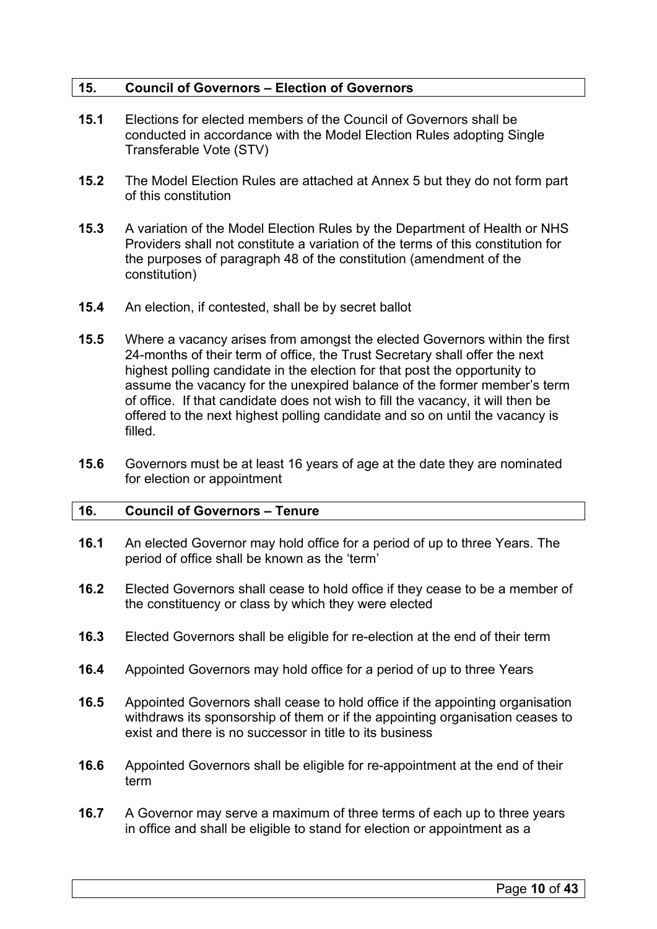# <span id="page-9-0"></span>**15. Council of Governors – Election of Governors**

- **15.1** Elections for elected members of the Council of Governors shall be conducted in accordance with the Model Election Rules adopting Single Transferable Vote (STV)
- **15.2** The Model Election Rules are attached at Annex 5 but they do not form part of this constitution
- **15.3** A variation of the Model Election Rules by the Department of Health or NHS Providers shall not constitute a variation of the terms of this constitution for the purposes of paragraph 48 of the constitution (amendment of the constitution)
- **15.4** An election, if contested, shall be by secret ballot
- **15.5** Where a vacancy arises from amongst the elected Governors within the first 24-months of their term of office, the Trust Secretary shall offer the next highest polling candidate in the election for that post the opportunity to assume the vacancy for the unexpired balance of the former member's term of office. If that candidate does not wish to fill the vacancy, it will then be offered to the next highest polling candidate and so on until the vacancy is filled.
- **15.6** Governors must be at least 16 years of age at the date they are nominated for election or appointment

# <span id="page-9-1"></span>**16. Council of Governors – Tenure**

- **16.1** An elected Governor may hold office for a period of up to three Years. The period of office shall be known as the 'term'
- **16.2** Elected Governors shall cease to hold office if they cease to be a member of the constituency or class by which they were elected
- **16.3** Elected Governors shall be eligible for re-election at the end of their term
- **16.4** Appointed Governors may hold office for a period of up to three Years
- **16.5** Appointed Governors shall cease to hold office if the appointing organisation withdraws its sponsorship of them or if the appointing organisation ceases to exist and there is no successor in title to its business
- **16.6** Appointed Governors shall be eligible for re-appointment at the end of their term
- **16.7** A Governor may serve a maximum of three terms of each up to three years in office and shall be eligible to stand for election or appointment as a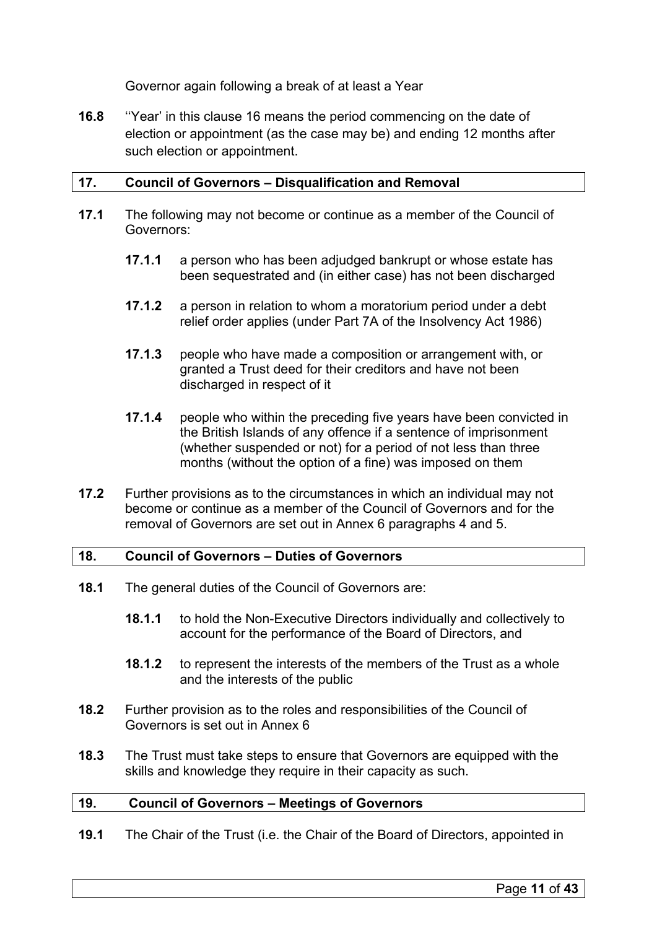Governor again following a break of at least a Year

**16.8** ''Year' in this clause 16 means the period commencing on the date of election or appointment (as the case may be) and ending 12 months after such election or appointment.

# <span id="page-10-0"></span>**17. Council of Governors – Disqualification and Removal**

- **17.1** The following may not become or continue as a member of the Council of Governors:
	- **17.1.1** a person who has been adjudged bankrupt or whose estate has been sequestrated and (in either case) has not been discharged
	- **17.1.2** a person in relation to whom a moratorium period under a debt relief order applies (under Part 7A of the Insolvency Act 1986)
	- **17.1.3** people who have made a composition or arrangement with, or granted a Trust deed for their creditors and have not been discharged in respect of it
	- **17.1.4** people who within the preceding five years have been convicted in the British Islands of any offence if a sentence of imprisonment (whether suspended or not) for a period of not less than three months (without the option of a fine) was imposed on them
- **17.2** Further provisions as to the circumstances in which an individual may not become or continue as a member of the Council of Governors and for the removal of Governors are set out in Annex 6 paragraphs 4 and 5.

# <span id="page-10-1"></span>**18. Council of Governors – Duties of Governors**

- **18.1** The general duties of the Council of Governors are:
	- **18.1.1** to hold the Non-Executive Directors individually and collectively to account for the performance of the Board of Directors, and
	- **18.1.2** to represent the interests of the members of the Trust as a whole and the interests of the public
- **18.2** Further provision as to the roles and responsibilities of the Council of Governors is set out in Annex 6
- **18.3** The Trust must take steps to ensure that Governors are equipped with the skills and knowledge they require in their capacity as such.

# <span id="page-10-2"></span>**19. Council of Governors – Meetings of Governors**

**19.1** The Chair of the Trust (i.e. the Chair of the Board of Directors, appointed in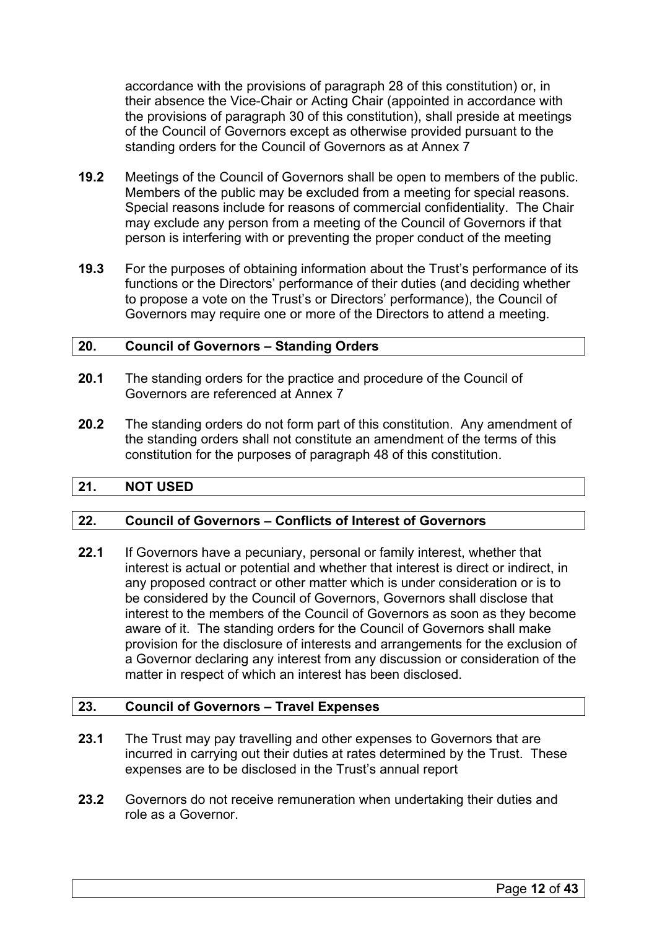accordance with the provisions of paragraph 28 of this constitution) or, in their absence the Vice-Chair or Acting Chair (appointed in accordance with the provisions of paragraph 30 of this constitution), shall preside at meetings of the Council of Governors except as otherwise provided pursuant to the standing orders for the Council of Governors as at Annex 7

- **19.2** Meetings of the Council of Governors shall be open to members of the public. Members of the public may be excluded from a meeting for special reasons. Special reasons include for reasons of commercial confidentiality. The Chair may exclude any person from a meeting of the Council of Governors if that person is interfering with or preventing the proper conduct of the meeting
- **19.3** For the purposes of obtaining information about the Trust's performance of its functions or the Directors' performance of their duties (and deciding whether to propose a vote on the Trust's or Directors' performance), the Council of Governors may require one or more of the Directors to attend a meeting.

#### <span id="page-11-0"></span>**20. Council of Governors – Standing Orders**

- **20.1** The standing orders for the practice and procedure of the Council of Governors are referenced at Annex 7
- **20.2** The standing orders do not form part of this constitution. Any amendment of the standing orders shall not constitute an amendment of the terms of this constitution for the purposes of paragraph 48 of this constitution.

# <span id="page-11-1"></span>**21. NOT USED**

# <span id="page-11-2"></span>**22. Council of Governors – Conflicts of Interest of Governors**

**22.1** If Governors have a pecuniary, personal or family interest, whether that interest is actual or potential and whether that interest is direct or indirect, in any proposed contract or other matter which is under consideration or is to be considered by the Council of Governors, Governors shall disclose that interest to the members of the Council of Governors as soon as they become aware of it. The standing orders for the Council of Governors shall make provision for the disclosure of interests and arrangements for the exclusion of a Governor declaring any interest from any discussion or consideration of the matter in respect of which an interest has been disclosed.

# <span id="page-11-3"></span>**23. Council of Governors – Travel Expenses**

- **23.1** The Trust may pay travelling and other expenses to Governors that are incurred in carrying out their duties at rates determined by the Trust. These expenses are to be disclosed in the Trust's annual report
- **23.2** Governors do not receive remuneration when undertaking their duties and role as a Governor.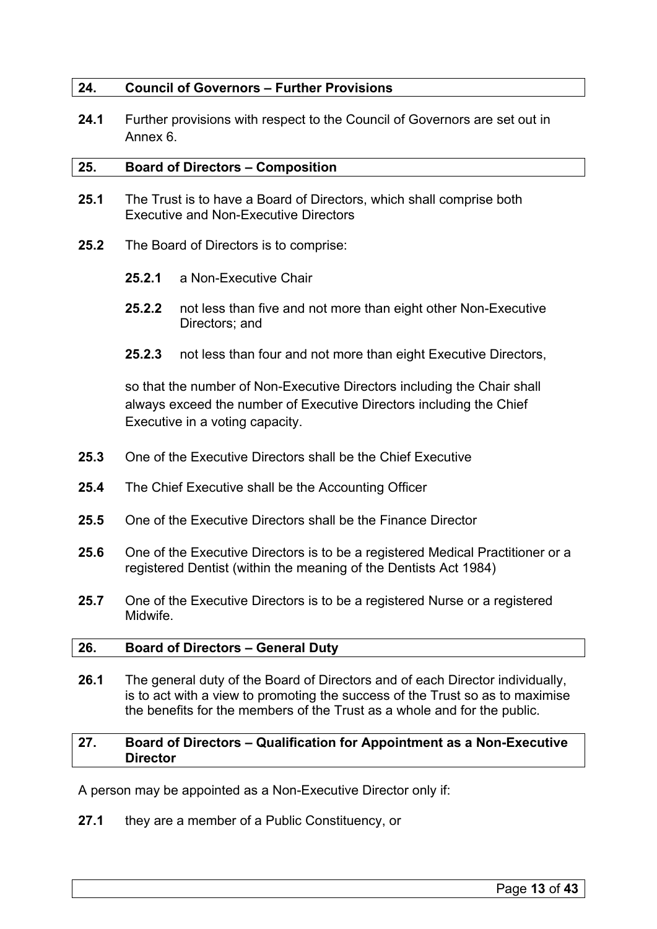# <span id="page-12-0"></span>**24. Council of Governors – Further Provisions**

**24.1** Further provisions with respect to the Council of Governors are set out in Annex 6.

#### <span id="page-12-1"></span>**25. Board of Directors – Composition**

- **25.1** The Trust is to have a Board of Directors, which shall comprise both Executive and Non-Executive Directors
- **25.2** The Board of Directors is to comprise:
	- **25.2.1** a Non-Executive Chair
	- **25.2.2** not less than five and not more than eight other Non-Executive Directors; and
	- **25.2.3** not less than four and not more than eight Executive Directors,

so that the number of Non-Executive Directors including the Chair shall always exceed the number of Executive Directors including the Chief Executive in a voting capacity.

- **25.3** One of the Executive Directors shall be the Chief Executive
- **25.4** The Chief Executive shall be the Accounting Officer
- **25.5** One of the Executive Directors shall be the Finance Director
- **25.6** One of the Executive Directors is to be a registered Medical Practitioner or a registered Dentist (within the meaning of the Dentists Act 1984)
- **25.7** One of the Executive Directors is to be a registered Nurse or a registered Midwife.

#### <span id="page-12-2"></span>**26. Board of Directors – General Duty**

**26.1** The general duty of the Board of Directors and of each Director individually, is to act with a view to promoting the success of the Trust so as to maximise the benefits for the members of the Trust as a whole and for the public.

# <span id="page-12-3"></span>**27. Board of Directors – Qualification for Appointment as a Non-Executive Director**

A person may be appointed as a Non-Executive Director only if:

**27.1** they are a member of a Public Constituency, or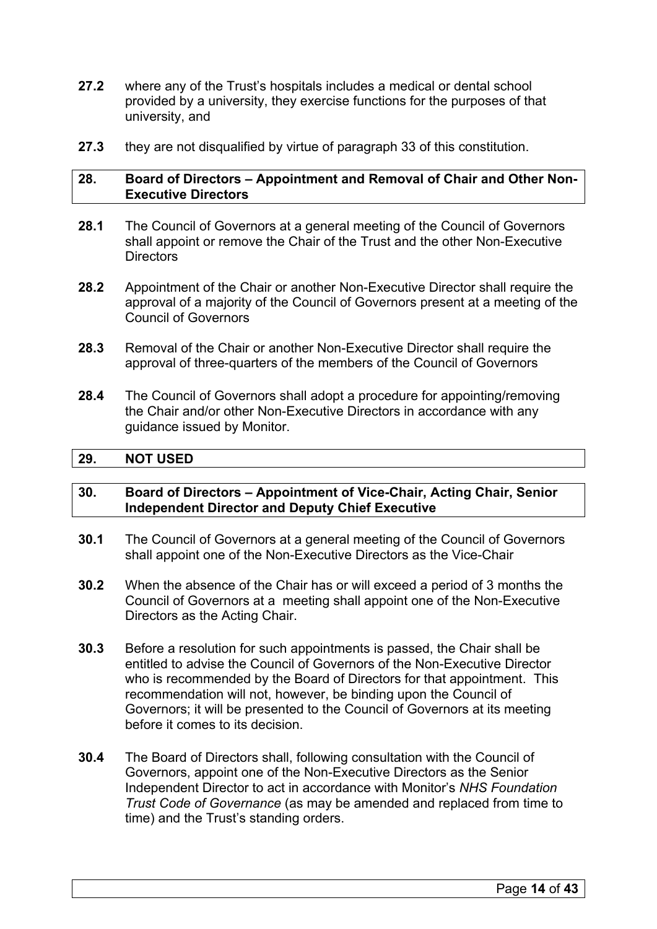- **27.2** where any of the Trust's hospitals includes a medical or dental school provided by a university, they exercise functions for the purposes of that university, and
- **27.3** they are not disqualified by virtue of paragraph 33 of this constitution.

#### <span id="page-13-0"></span>**28. Board of Directors – Appointment and Removal of Chair and Other Non-Executive Directors**

- **28.1** The Council of Governors at a general meeting of the Council of Governors shall appoint or remove the Chair of the Trust and the other Non-Executive **Directors**
- **28.2** Appointment of the Chair or another Non-Executive Director shall require the approval of a majority of the Council of Governors present at a meeting of the Council of Governors
- **28.3** Removal of the Chair or another Non-Executive Director shall require the approval of three-quarters of the members of the Council of Governors
- **28.4** The Council of Governors shall adopt a procedure for appointing/removing the Chair and/or other Non-Executive Directors in accordance with any guidance issued by Monitor.

### <span id="page-13-1"></span>**29. NOT USED**

#### <span id="page-13-2"></span>**30. Board of Directors – Appointment of Vice-Chair, Acting Chair, Senior Independent Director and Deputy Chief Executive**

- **30.1** The Council of Governors at a general meeting of the Council of Governors shall appoint one of the Non-Executive Directors as the Vice-Chair
- **30.2** When the absence of the Chair has or will exceed a period of 3 months the Council of Governors at a meeting shall appoint one of the Non-Executive Directors as the Acting Chair.
- **30.3** Before a resolution for such appointments is passed, the Chair shall be entitled to advise the Council of Governors of the Non-Executive Director who is recommended by the Board of Directors for that appointment. This recommendation will not, however, be binding upon the Council of Governors; it will be presented to the Council of Governors at its meeting before it comes to its decision.
- **30.4** The Board of Directors shall, following consultation with the Council of Governors, appoint one of the Non-Executive Directors as the Senior Independent Director to act in accordance with Monitor's *NHS Foundation Trust Code of Governance* (as may be amended and replaced from time to time) and the Trust's standing orders.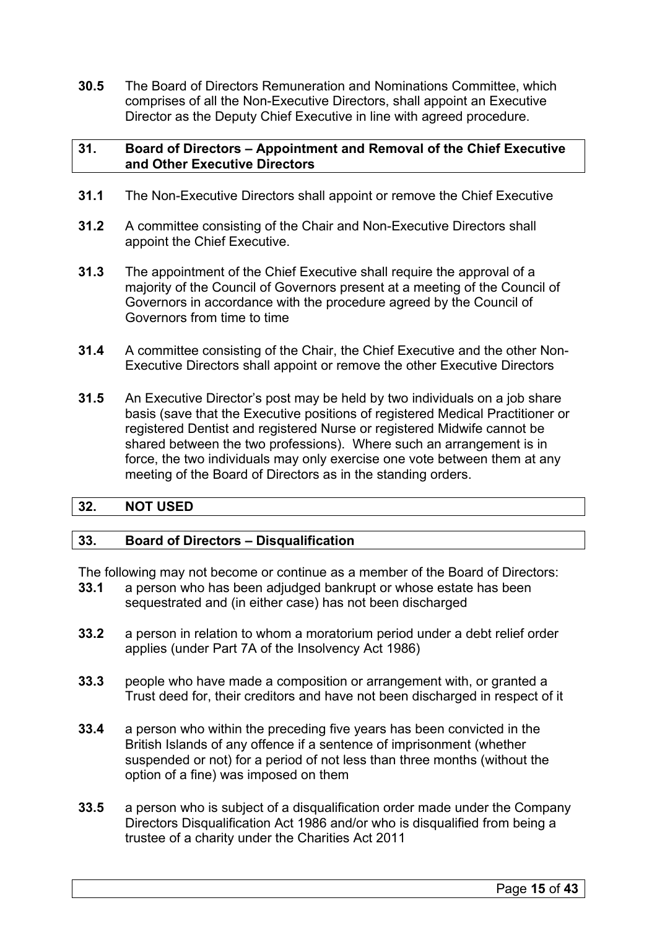**30.5** The Board of Directors Remuneration and Nominations Committee, which comprises of all the Non-Executive Directors, shall appoint an Executive Director as the Deputy Chief Executive in line with agreed procedure.

# <span id="page-14-0"></span>**31. Board of Directors – Appointment and Removal of the Chief Executive and Other Executive Directors**

- **31.1** The Non-Executive Directors shall appoint or remove the Chief Executive
- **31.2** A committee consisting of the Chair and Non-Executive Directors shall appoint the Chief Executive.
- **31.3** The appointment of the Chief Executive shall require the approval of a majority of the Council of Governors present at a meeting of the Council of Governors in accordance with the procedure agreed by the Council of Governors from time to time
- **31.4** A committee consisting of the Chair, the Chief Executive and the other Non-Executive Directors shall appoint or remove the other Executive Directors
- **31.5** An Executive Director's post may be held by two individuals on a job share basis (save that the Executive positions of registered Medical Practitioner or registered Dentist and registered Nurse or registered Midwife cannot be shared between the two professions). Where such an arrangement is in force, the two individuals may only exercise one vote between them at any meeting of the Board of Directors as in the standing orders.

# <span id="page-14-1"></span>**32. NOT USED**

# <span id="page-14-2"></span>**33. Board of Directors – Disqualification**

The following may not become or continue as a member of the Board of Directors:

- **33.1** a person who has been adjudged bankrupt or whose estate has been sequestrated and (in either case) has not been discharged
- **33.2** a person in relation to whom a moratorium period under a debt relief order applies (under Part 7A of the Insolvency Act 1986)
- **33.3** people who have made a composition or arrangement with, or granted a Trust deed for, their creditors and have not been discharged in respect of it
- **33.4** a person who within the preceding five years has been convicted in the British Islands of any offence if a sentence of imprisonment (whether suspended or not) for a period of not less than three months (without the option of a fine) was imposed on them
- **33.5** a person who is subject of a disqualification order made under the Company Directors Disqualification Act 1986 and/or who is disqualified from being a trustee of a charity under the Charities Act 2011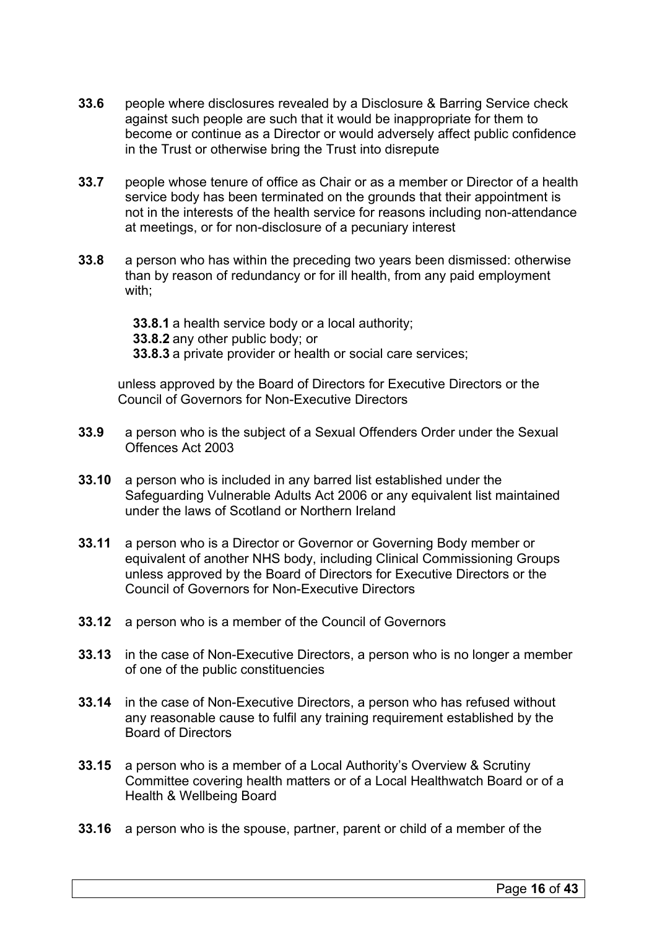- **33.6** people where disclosures revealed by a Disclosure & Barring Service check against such people are such that it would be inappropriate for them to become or continue as a Director or would adversely affect public confidence in the Trust or otherwise bring the Trust into disrepute
- **33.7** people whose tenure of office as Chair or as a member or Director of a health service body has been terminated on the grounds that their appointment is not in the interests of the health service for reasons including non-attendance at meetings, or for non-disclosure of a pecuniary interest
- **33.8** a person who has within the preceding two years been dismissed: otherwise than by reason of redundancy or for ill health, from any paid employment with;

**33.8.1** a health service body or a local authority; **33.8.2** any other public body; or **33.8.3** a private provider or health or social care services;

unless approved by the Board of Directors for Executive Directors or the Council of Governors for Non-Executive Directors

- **33.9** a person who is the subject of a Sexual Offenders Order under the Sexual Offences Act 2003
- **33.10** a person who is included in any barred list established under the Safeguarding Vulnerable Adults Act 2006 or any equivalent list maintained under the laws of Scotland or Northern Ireland
- **33.11** a person who is a Director or Governor or Governing Body member or equivalent of another NHS body, including Clinical Commissioning Groups unless approved by the Board of Directors for Executive Directors or the Council of Governors for Non-Executive Directors
- **33.12** a person who is a member of the Council of Governors
- **33.13** in the case of Non-Executive Directors, a person who is no longer a member of one of the public constituencies
- **33.14** in the case of Non-Executive Directors, a person who has refused without any reasonable cause to fulfil any training requirement established by the Board of Directors
- **33.15** a person who is a member of a Local Authority's Overview & Scrutiny Committee covering health matters or of a Local Healthwatch Board or of a Health & Wellbeing Board
- **33.16** a person who is the spouse, partner, parent or child of a member of the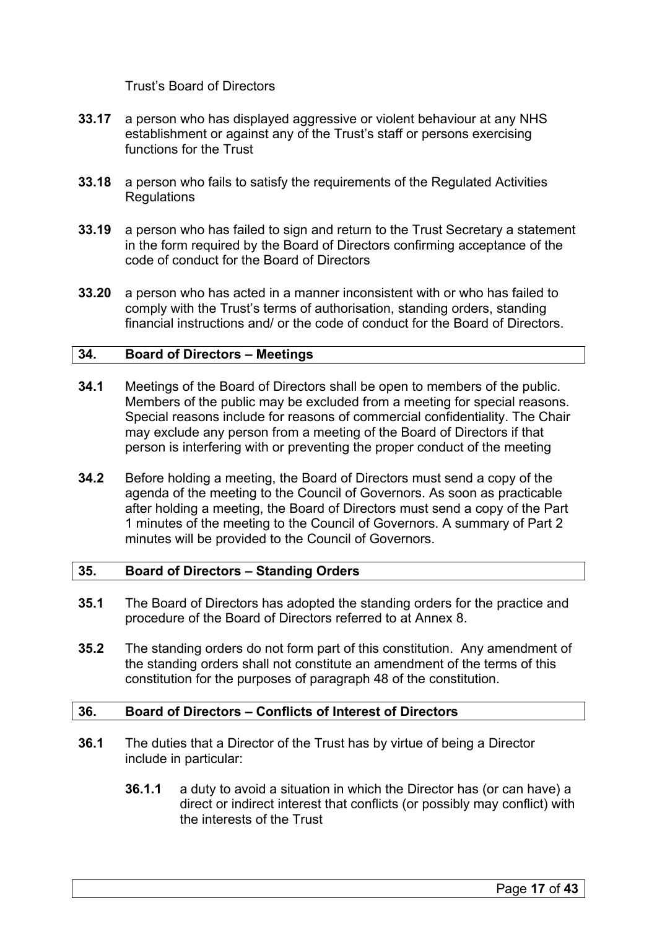Trust's Board of Directors

- **33.17** a person who has displayed aggressive or violent behaviour at any NHS establishment or against any of the Trust's staff or persons exercising functions for the Trust
- **33.18** a person who fails to satisfy the requirements of the Regulated Activities **Regulations**
- **33.19** a person who has failed to sign and return to the Trust Secretary a statement in the form required by the Board of Directors confirming acceptance of the code of conduct for the Board of Directors
- **33.20** a person who has acted in a manner inconsistent with or who has failed to comply with the Trust's terms of authorisation, standing orders, standing financial instructions and/ or the code of conduct for the Board of Directors.

#### <span id="page-16-0"></span>**34. Board of Directors – Meetings**

- **34.1** Meetings of the Board of Directors shall be open to members of the public. Members of the public may be excluded from a meeting for special reasons. Special reasons include for reasons of commercial confidentiality. The Chair may exclude any person from a meeting of the Board of Directors if that person is interfering with or preventing the proper conduct of the meeting
- **34.2** Before holding a meeting, the Board of Directors must send a copy of the agenda of the meeting to the Council of Governors. As soon as practicable after holding a meeting, the Board of Directors must send a copy of the Part 1 minutes of the meeting to the Council of Governors. A summary of Part 2 minutes will be provided to the Council of Governors.

#### <span id="page-16-1"></span>**35. Board of Directors – Standing Orders**

- **35.1** The Board of Directors has adopted the standing orders for the practice and procedure of the Board of Directors referred to at Annex 8.
- **35.2** The standing orders do not form part of this constitution. Any amendment of the standing orders shall not constitute an amendment of the terms of this constitution for the purposes of paragraph 48 of the constitution.

#### <span id="page-16-2"></span>**36. Board of Directors – Conflicts of Interest of Directors**

- **36.1** The duties that a Director of the Trust has by virtue of being a Director include in particular:
	- **36.1.1** a duty to avoid a situation in which the Director has (or can have) a direct or indirect interest that conflicts (or possibly may conflict) with the interests of the Trust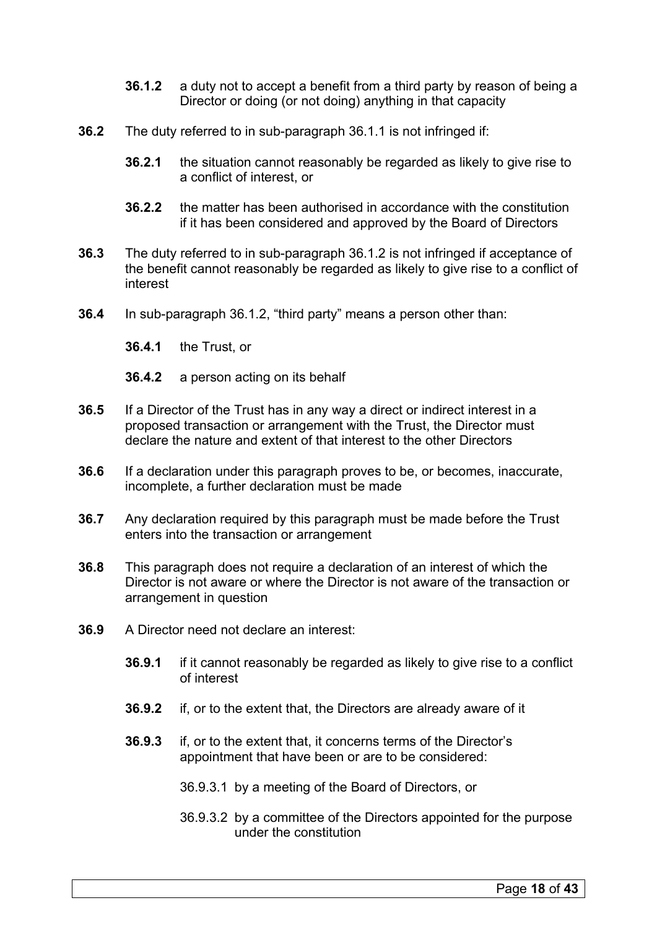- **36.1.2** a duty not to accept a benefit from a third party by reason of being a Director or doing (or not doing) anything in that capacity
- **36.2** The duty referred to in sub-paragraph 36.1.1 is not infringed if:
	- **36.2.1** the situation cannot reasonably be regarded as likely to give rise to a conflict of interest, or
	- **36.2.2** the matter has been authorised in accordance with the constitution if it has been considered and approved by the Board of Directors
- **36.3** The duty referred to in sub-paragraph 36.1.2 is not infringed if acceptance of the benefit cannot reasonably be regarded as likely to give rise to a conflict of interest
- **36.4** In sub-paragraph 36.1.2, "third party" means a person other than:
	- **36.4.1** the Trust, or
	- **36.4.2** a person acting on its behalf
- **36.5** If a Director of the Trust has in any way a direct or indirect interest in a proposed transaction or arrangement with the Trust, the Director must declare the nature and extent of that interest to the other Directors
- **36.6** If a declaration under this paragraph proves to be, or becomes, inaccurate, incomplete, a further declaration must be made
- **36.7** Any declaration required by this paragraph must be made before the Trust enters into the transaction or arrangement
- **36.8** This paragraph does not require a declaration of an interest of which the Director is not aware or where the Director is not aware of the transaction or arrangement in question
- **36.9** A Director need not declare an interest:
	- **36.9.1** if it cannot reasonably be regarded as likely to give rise to a conflict of interest
	- **36.9.2** if, or to the extent that, the Directors are already aware of it
	- **36.9.3** if, or to the extent that, it concerns terms of the Director's appointment that have been or are to be considered:
		- 36.9.3.1 by a meeting of the Board of Directors, or
		- 36.9.3.2 by a committee of the Directors appointed for the purpose under the constitution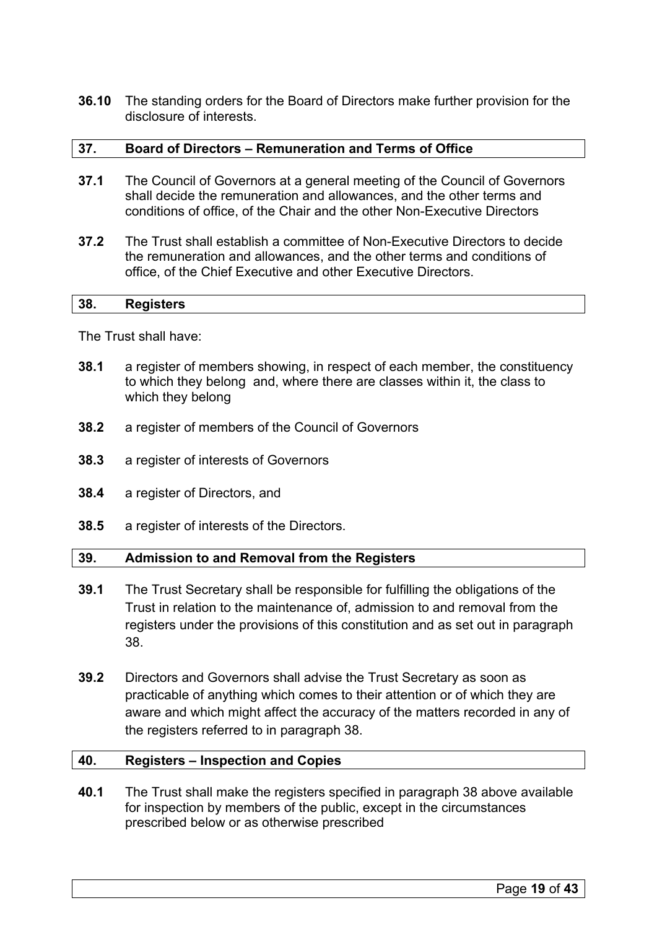**36.10** The standing orders for the Board of Directors make further provision for the disclosure of interests.

#### <span id="page-18-0"></span>**37. Board of Directors – Remuneration and Terms of Office**

- **37.1** The Council of Governors at a general meeting of the Council of Governors shall decide the remuneration and allowances, and the other terms and conditions of office, of the Chair and the other Non-Executive Directors
- **37.2** The Trust shall establish a committee of Non-Executive Directors to decide the remuneration and allowances, and the other terms and conditions of office, of the Chief Executive and other Executive Directors.

#### <span id="page-18-1"></span>**38. Registers**

The Trust shall have:

- **38.1** a register of members showing, in respect of each member, the constituency to which they belong and, where there are classes within it, the class to which they belong
- **38.2** a register of members of the Council of Governors
- **38.3** a register of interests of Governors
- **38.4** a register of Directors, and
- **38.5** a register of interests of the Directors.

#### <span id="page-18-2"></span>**39. Admission to and Removal from the Registers**

- **39.1** The Trust Secretary shall be responsible for fulfilling the obligations of the Trust in relation to the maintenance of, admission to and removal from the registers under the provisions of this constitution and as set out in paragraph 38.
- **39.2** Directors and Governors shall advise the Trust Secretary as soon as practicable of anything which comes to their attention or of which they are aware and which might affect the accuracy of the matters recorded in any of the registers referred to in paragraph 38.

#### <span id="page-18-3"></span>**40. Registers – Inspection and Copies**

**40.1** The Trust shall make the registers specified in paragraph 38 above available for inspection by members of the public, except in the circumstances prescribed below or as otherwise prescribed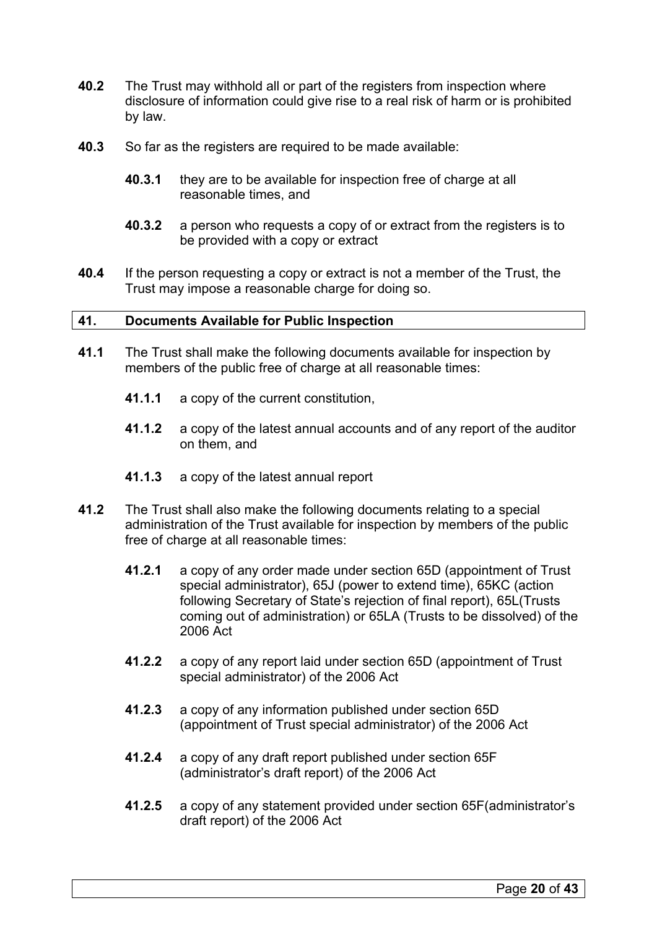- **40.2** The Trust may withhold all or part of the registers from inspection where disclosure of information could give rise to a real risk of harm or is prohibited by law.
- **40.3** So far as the registers are required to be made available:
	- **40.3.1** they are to be available for inspection free of charge at all reasonable times, and
	- **40.3.2** a person who requests a copy of or extract from the registers is to be provided with a copy or extract
- **40.4** If the person requesting a copy or extract is not a member of the Trust, the Trust may impose a reasonable charge for doing so.

## <span id="page-19-0"></span>**41. Documents Available for Public Inspection**

- **41.1** The Trust shall make the following documents available for inspection by members of the public free of charge at all reasonable times:
	- **41.1.1** a copy of the current constitution,
	- **41.1.2** a copy of the latest annual accounts and of any report of the auditor on them, and
	- **41.1.3** a copy of the latest annual report
- **41.2** The Trust shall also make the following documents relating to a special administration of the Trust available for inspection by members of the public free of charge at all reasonable times:
	- **41.2.1** a copy of any order made under section 65D (appointment of Trust special administrator), 65J (power to extend time), 65KC (action following Secretary of State's rejection of final report), 65L(Trusts coming out of administration) or 65LA (Trusts to be dissolved) of the 2006 Act
	- **41.2.2** a copy of any report laid under section 65D (appointment of Trust special administrator) of the 2006 Act
	- **41.2.3** a copy of any information published under section 65D (appointment of Trust special administrator) of the 2006 Act
	- **41.2.4** a copy of any draft report published under section 65F (administrator's draft report) of the 2006 Act
	- **41.2.5** a copy of any statement provided under section 65F(administrator's draft report) of the 2006 Act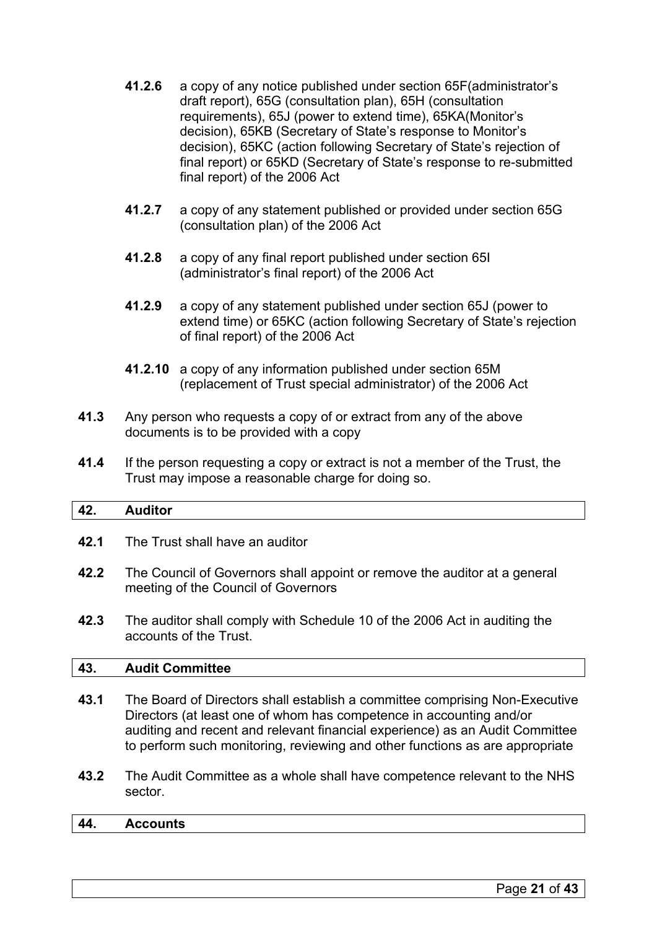- **41.2.6** a copy of any notice published under section 65F(administrator's draft report), 65G (consultation plan), 65H (consultation requirements), 65J (power to extend time), 65KA(Monitor's decision), 65KB (Secretary of State's response to Monitor's decision), 65KC (action following Secretary of State's rejection of final report) or 65KD (Secretary of State's response to re-submitted final report) of the 2006 Act
- **41.2.7** a copy of any statement published or provided under section 65G (consultation plan) of the 2006 Act
- **41.2.8** a copy of any final report published under section 65I (administrator's final report) of the 2006 Act
- **41.2.9** a copy of any statement published under section 65J (power to extend time) or 65KC (action following Secretary of State's rejection of final report) of the 2006 Act
- **41.2.10** a copy of any information published under section 65M (replacement of Trust special administrator) of the 2006 Act
- **41.3** Any person who requests a copy of or extract from any of the above documents is to be provided with a copy
- **41.4** If the person requesting a copy or extract is not a member of the Trust, the Trust may impose a reasonable charge for doing so.

# <span id="page-20-0"></span>**42. Auditor**

- **42.1** The Trust shall have an auditor
- **42.2** The Council of Governors shall appoint or remove the auditor at a general meeting of the Council of Governors
- **42.3** The auditor shall comply with Schedule 10 of the 2006 Act in auditing the accounts of the Trust.

# <span id="page-20-1"></span>**43. Audit Committee**

- **43.1** The Board of Directors shall establish a committee comprising Non-Executive Directors (at least one of whom has competence in accounting and/or auditing and recent and relevant financial experience) as an Audit Committee to perform such monitoring, reviewing and other functions as are appropriate
- **43.2** The Audit Committee as a whole shall have competence relevant to the NHS sector.

# <span id="page-20-2"></span>**44. Accounts**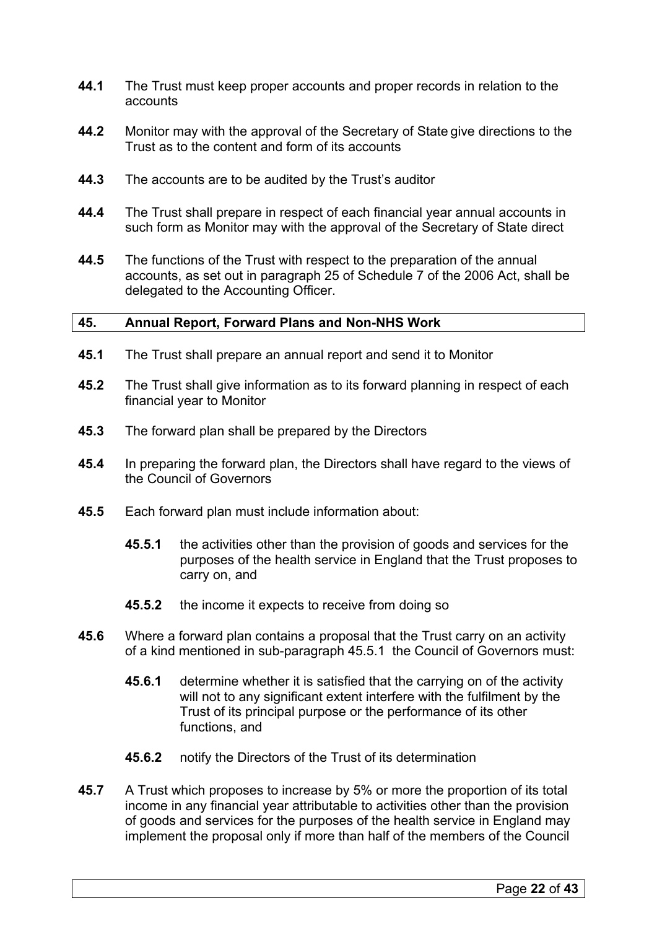- **44.1** The Trust must keep proper accounts and proper records in relation to the accounts
- **44.2** Monitor may with the approval of the Secretary of State give directions to the Trust as to the content and form of its accounts
- **44.3** The accounts are to be audited by the Trust's auditor
- **44.4** The Trust shall prepare in respect of each financial year annual accounts in such form as Monitor may with the approval of the Secretary of State direct
- **44.5** The functions of the Trust with respect to the preparation of the annual accounts, as set out in paragraph 25 of Schedule 7 of the 2006 Act, shall be delegated to the Accounting Officer.

#### <span id="page-21-0"></span>**45. Annual Report, Forward Plans and Non-NHS Work**

- **45.1** The Trust shall prepare an annual report and send it to Monitor
- **45.2** The Trust shall give information as to its forward planning in respect of each financial year to Monitor
- **45.3** The forward plan shall be prepared by the Directors
- **45.4** In preparing the forward plan, the Directors shall have regard to the views of the Council of Governors
- **45.5** Each forward plan must include information about:
	- **45.5.1** the activities other than the provision of goods and services for the purposes of the health service in England that the Trust proposes to carry on, and
	- **45.5.2** the income it expects to receive from doing so
- **45.6** Where a forward plan contains a proposal that the Trust carry on an activity of a kind mentioned in sub-paragraph 45.5.1 the Council of Governors must:
	- **45.6.1** determine whether it is satisfied that the carrying on of the activity will not to any significant extent interfere with the fulfilment by the Trust of its principal purpose or the performance of its other functions, and
	- **45.6.2** notify the Directors of the Trust of its determination
- **45.7** A Trust which proposes to increase by 5% or more the proportion of its total income in any financial year attributable to activities other than the provision of goods and services for the purposes of the health service in England may implement the proposal only if more than half of the members of the Council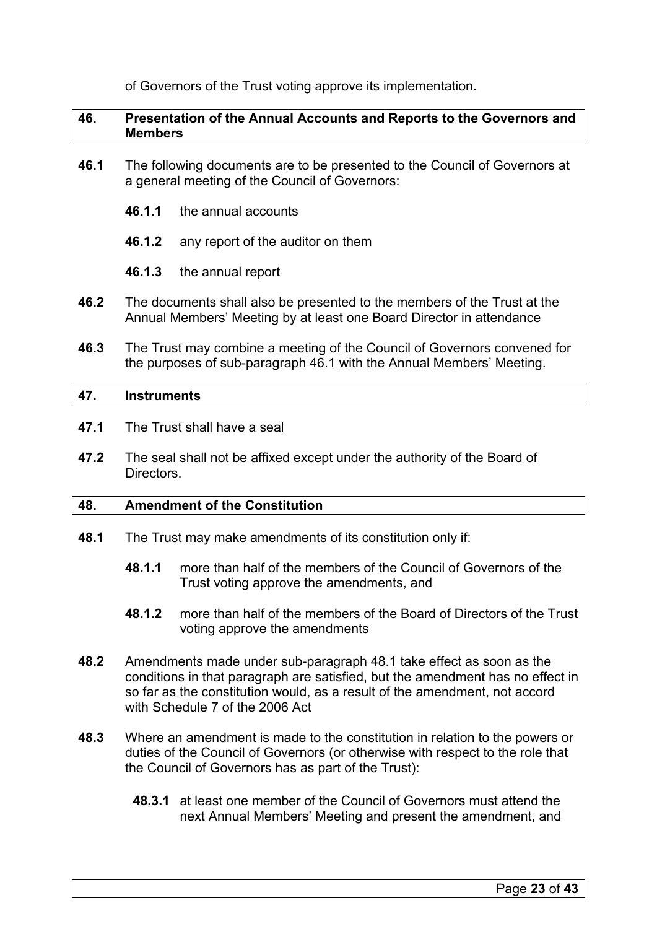of Governors of the Trust voting approve its implementation.

#### <span id="page-22-0"></span>**46. Presentation of the Annual Accounts and Reports to the Governors and Members**

- **46.1** The following documents are to be presented to the Council of Governors at a general meeting of the Council of Governors:
	- **46.1.1** the annual accounts
	- **46.1.2** any report of the auditor on them
	- **46.1.3** the annual report
- **46.2** The documents shall also be presented to the members of the Trust at the Annual Members' Meeting by at least one Board Director in attendance
- **46.3** The Trust may combine a meeting of the Council of Governors convened for the purposes of sub-paragraph 46.1 with the Annual Members' Meeting.

#### <span id="page-22-1"></span>**47. Instruments**

- **47.1** The Trust shall have a seal
- **47.2** The seal shall not be affixed except under the authority of the Board of Directors.

#### <span id="page-22-2"></span>**48. Amendment of the Constitution**

- **48.1** The Trust may make amendments of its constitution only if:
	- **48.1.1** more than half of the members of the Council of Governors of the Trust voting approve the amendments, and
	- **48.1.2** more than half of the members of the Board of Directors of the Trust voting approve the amendments
- **48.2** Amendments made under sub-paragraph 48.1 take effect as soon as the conditions in that paragraph are satisfied, but the amendment has no effect in so far as the constitution would, as a result of the amendment, not accord with Schedule 7 of the 2006 Act
- **48.3** Where an amendment is made to the constitution in relation to the powers or duties of the Council of Governors (or otherwise with respect to the role that the Council of Governors has as part of the Trust):
	- **48.3.1** at least one member of the Council of Governors must attend the next Annual Members' Meeting and present the amendment, and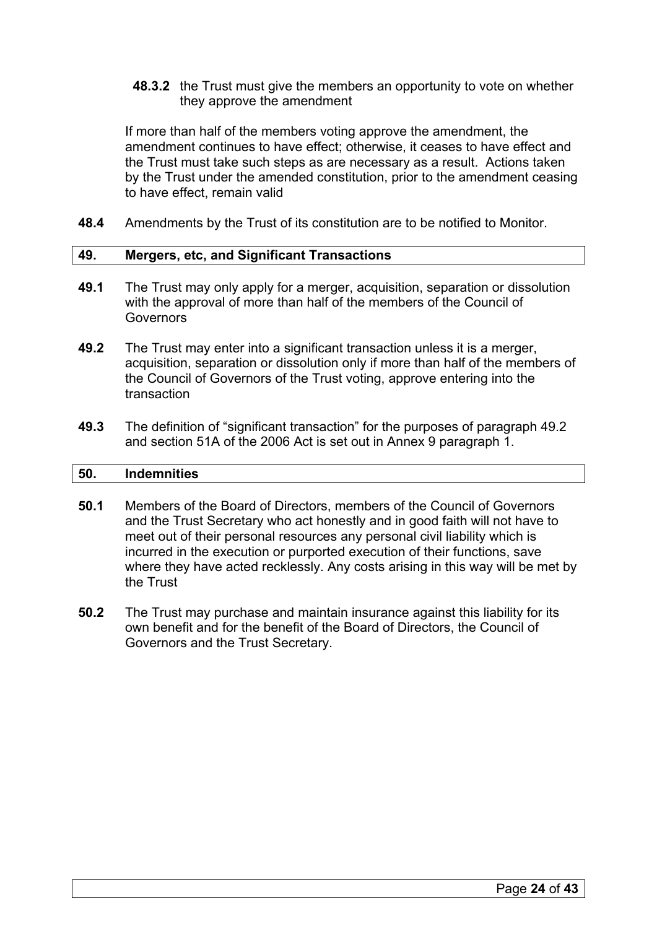**48.3.2** the Trust must give the members an opportunity to vote on whether they approve the amendment

If more than half of the members voting approve the amendment, the amendment continues to have effect; otherwise, it ceases to have effect and the Trust must take such steps as are necessary as a result. Actions taken by the Trust under the amended constitution, prior to the amendment ceasing to have effect, remain valid

**48.4** Amendments by the Trust of its constitution are to be notified to Monitor.

#### <span id="page-23-0"></span>**49. Mergers, etc, and Significant Transactions**

- **49.1** The Trust may only apply for a merger, acquisition, separation or dissolution with the approval of more than half of the members of the Council of **Governors**
- **49.2** The Trust may enter into a significant transaction unless it is a merger, acquisition, separation or dissolution only if more than half of the members of the Council of Governors of the Trust voting, approve entering into the transaction
- **49.3** The definition of "significant transaction" for the purposes of paragraph 49.2 and section 51A of the 2006 Act is set out in Annex 9 paragraph 1.

#### <span id="page-23-1"></span>**50. Indemnities**

- **50.1** Members of the Board of Directors, members of the Council of Governors and the Trust Secretary who act honestly and in good faith will not have to meet out of their personal resources any personal civil liability which is incurred in the execution or purported execution of their functions, save where they have acted recklessly. Any costs arising in this way will be met by the Trust
- **50.2** The Trust may purchase and maintain insurance against this liability for its own benefit and for the benefit of the Board of Directors, the Council of Governors and the Trust Secretary.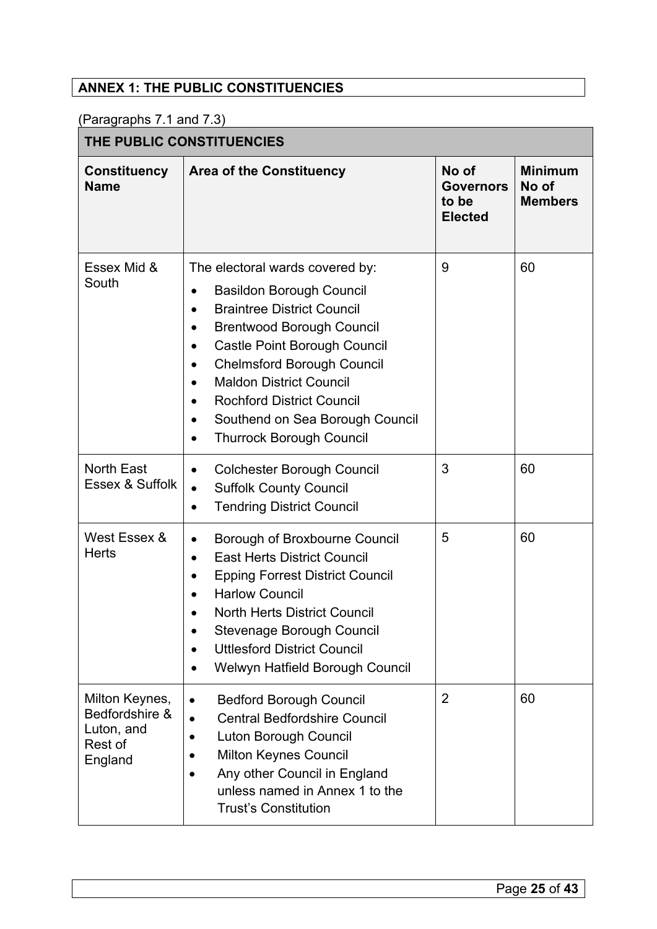# <span id="page-24-0"></span>**ANNEX 1: THE PUBLIC CONSTITUENCIES**

(Paragraphs 7.1 and 7.3)

|  | THE PUBLIC CONSTITUENCIES |
|--|---------------------------|
|--|---------------------------|

| <b>Constituency</b><br><b>Name</b>                                   | <b>Area of the Constituency</b>                                                                                                                                                                                                                                                                                                                                                                                                            | No of<br><b>Governors</b><br>to be<br><b>Elected</b> | <b>Minimum</b><br>No of<br><b>Members</b> |  |
|----------------------------------------------------------------------|--------------------------------------------------------------------------------------------------------------------------------------------------------------------------------------------------------------------------------------------------------------------------------------------------------------------------------------------------------------------------------------------------------------------------------------------|------------------------------------------------------|-------------------------------------------|--|
| Essex Mid &<br>South                                                 | The electoral wards covered by:<br><b>Basildon Borough Council</b><br>$\bullet$<br><b>Braintree District Council</b><br>$\bullet$<br><b>Brentwood Borough Council</b><br>$\bullet$<br>Castle Point Borough Council<br>$\bullet$<br><b>Chelmsford Borough Council</b><br><b>Maldon District Council</b><br><b>Rochford District Council</b><br>$\bullet$<br>Southend on Sea Borough Council<br>$\bullet$<br><b>Thurrock Borough Council</b> | 9                                                    | 60                                        |  |
| <b>North East</b><br>Essex & Suffolk                                 | <b>Colchester Borough Council</b><br>$\bullet$<br><b>Suffolk County Council</b><br>$\bullet$<br><b>Tendring District Council</b><br>$\bullet$                                                                                                                                                                                                                                                                                              | 3                                                    | 60                                        |  |
| West Essex &<br><b>Herts</b>                                         | Borough of Broxbourne Council<br>$\bullet$<br><b>East Herts District Council</b><br>$\bullet$<br><b>Epping Forrest District Council</b><br><b>Harlow Council</b><br>$\bullet$<br><b>North Herts District Council</b><br>Stevenage Borough Council<br><b>Uttlesford District Council</b><br>Welwyn Hatfield Borough Council                                                                                                                 | 5                                                    | 60                                        |  |
| Milton Keynes,<br>Bedfordshire &<br>Luton, and<br>Rest of<br>England | <b>Bedford Borough Council</b><br>$\bullet$<br><b>Central Bedfordshire Council</b><br>$\bullet$<br><b>Luton Borough Council</b><br><b>Milton Keynes Council</b><br>Any other Council in England<br>unless named in Annex 1 to the<br><b>Trust's Constitution</b>                                                                                                                                                                           | $\overline{2}$                                       | 60                                        |  |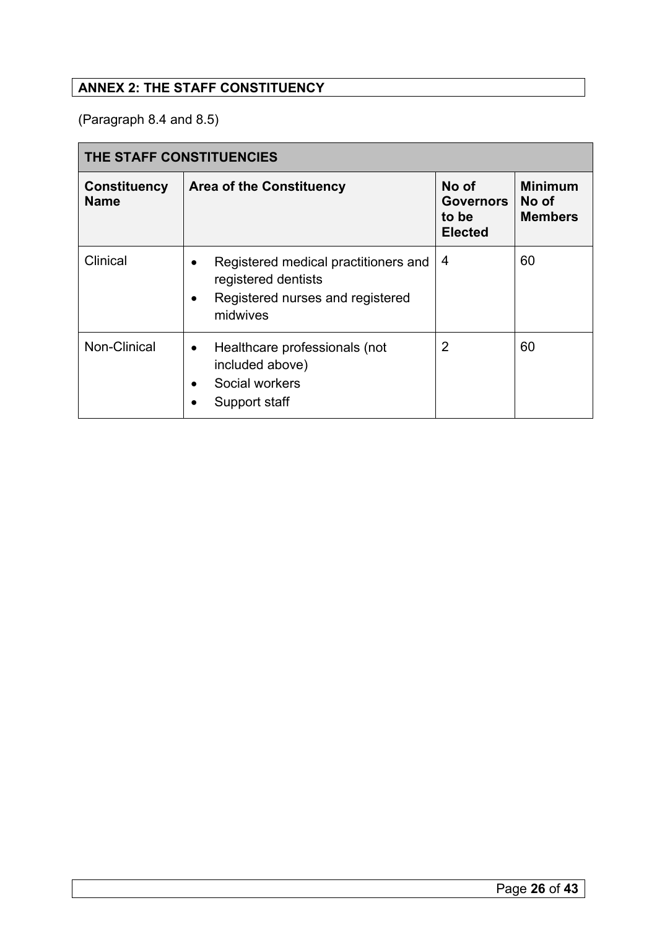# <span id="page-25-0"></span>**ANNEX 2: THE STAFF CONSTITUENCY**

(Paragraph 8.4 and 8.5)

| THE STAFF CONSTITUENCIES           |                                                                                                             |                                                      |                                           |
|------------------------------------|-------------------------------------------------------------------------------------------------------------|------------------------------------------------------|-------------------------------------------|
| <b>Constituency</b><br><b>Name</b> | <b>Area of the Constituency</b>                                                                             | No of<br><b>Governors</b><br>to be<br><b>Elected</b> | <b>Minimum</b><br>No of<br><b>Members</b> |
| Clinical                           | Registered medical practitioners and<br>registered dentists<br>Registered nurses and registered<br>midwives | 4                                                    | 60                                        |
| Non-Clinical                       | Healthcare professionals (not<br>$\bullet$<br>included above)<br>Social workers<br>Support staff            | 2                                                    | 60                                        |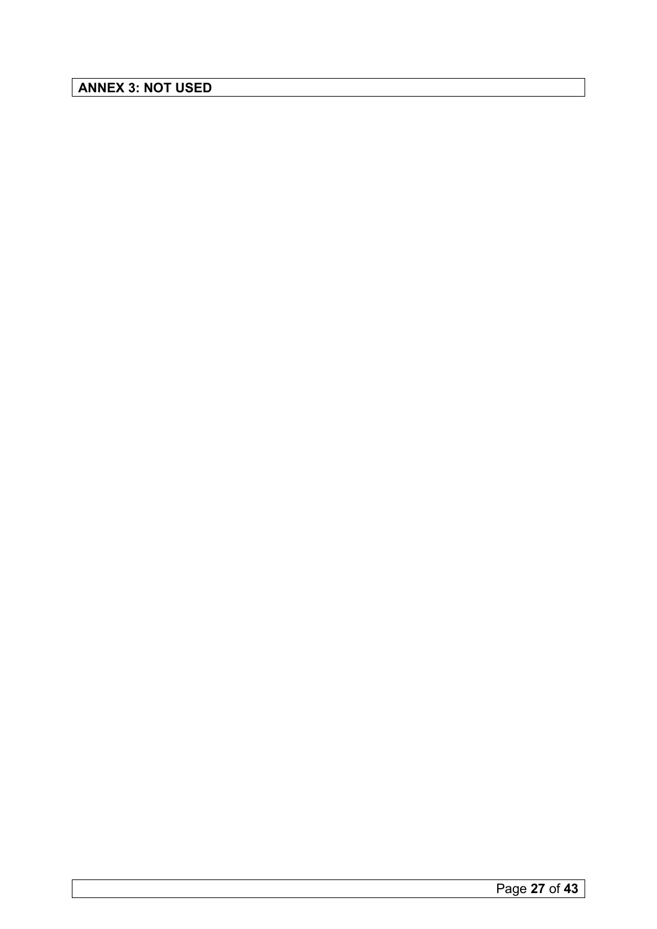<span id="page-26-0"></span>**ANNEX 3: NOT USED**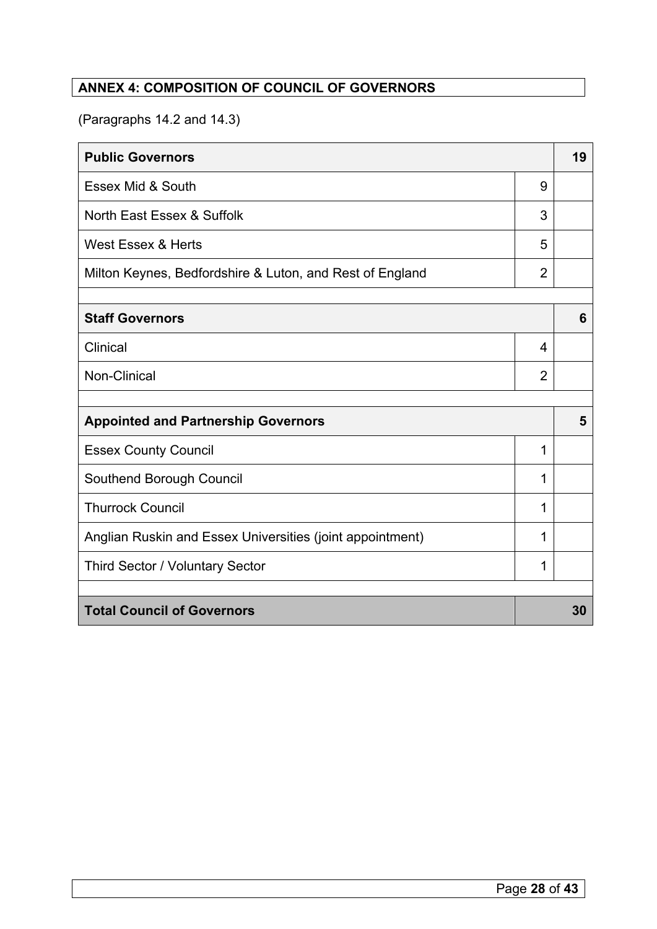# <span id="page-27-0"></span>**ANNEX 4: COMPOSITION OF COUNCIL OF GOVERNORS**

(Paragraphs 14.2 and 14.3)

| <b>Public Governors</b>                                   |                | 19 |
|-----------------------------------------------------------|----------------|----|
| Essex Mid & South                                         | 9              |    |
| North East Essex & Suffolk                                | 3              |    |
| <b>West Essex &amp; Herts</b>                             | 5              |    |
| Milton Keynes, Bedfordshire & Luton, and Rest of England  | $\overline{2}$ |    |
|                                                           |                |    |
| <b>Staff Governors</b>                                    |                | 6  |
| Clinical                                                  | $\overline{4}$ |    |
| Non-Clinical                                              | $\overline{2}$ |    |
|                                                           |                |    |
| <b>Appointed and Partnership Governors</b>                |                |    |
| <b>Essex County Council</b>                               | 1              |    |
| Southend Borough Council                                  | 1              |    |
| <b>Thurrock Council</b>                                   | 1              |    |
| Anglian Ruskin and Essex Universities (joint appointment) | 1              |    |
| Third Sector / Voluntary Sector                           | 1              |    |
|                                                           |                |    |
| <b>Total Council of Governors</b>                         |                | 30 |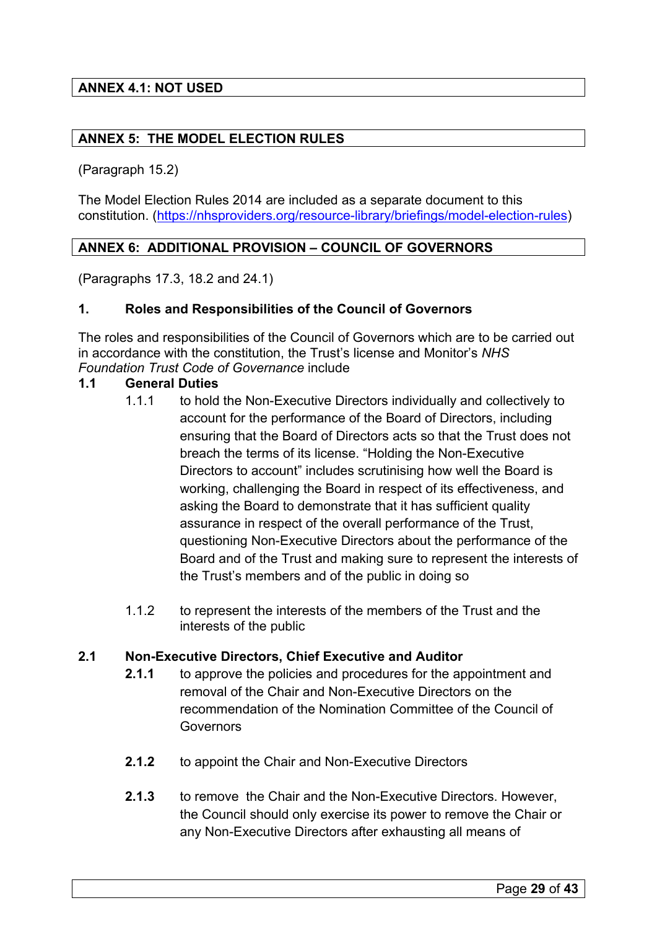# <span id="page-28-0"></span>**ANNEX 4.1: NOT USED**

# <span id="page-28-1"></span>**ANNEX 5: THE MODEL ELECTION RULES**

(Paragraph 15.2)

The Model Election Rules 2014 are included as a separate document to this constitution. [\(https://nhsproviders.org/resource-library/briefings/model-election-rules\)](https://nhsproviders.org/resource-library/briefings/model-election-rules)

# <span id="page-28-2"></span>**ANNEX 6: ADDITIONAL PROVISION – COUNCIL OF GOVERNORS**

(Paragraphs 17.3, 18.2 and 24.1)

# **1. Roles and Responsibilities of the Council of Governors**

The roles and responsibilities of the Council of Governors which are to be carried out in accordance with the constitution, the Trust's license and Monitor's *NHS Foundation Trust Code of Governance* include

# **1.1 General Duties**

- 1.1.1 to hold the Non-Executive Directors individually and collectively to account for the performance of the Board of Directors, including ensuring that the Board of Directors acts so that the Trust does not breach the terms of its license. "Holding the Non-Executive Directors to account" includes scrutinising how well the Board is working, challenging the Board in respect of its effectiveness, and asking the Board to demonstrate that it has sufficient quality assurance in respect of the overall performance of the Trust, questioning Non-Executive Directors about the performance of the Board and of the Trust and making sure to represent the interests of the Trust's members and of the public in doing so
- 1.1.2 to represent the interests of the members of the Trust and the interests of the public

# **2.1 Non-Executive Directors, Chief Executive and Auditor**

- **2.1.1** to approve the policies and procedures for the appointment and removal of the Chair and Non-Executive Directors on the recommendation of the Nomination Committee of the Council of **Governors**
- **2.1.2** to appoint the Chair and Non-Executive Directors
- **2.1.3** to remove the Chair and the Non-Executive Directors. However, the Council should only exercise its power to remove the Chair or any Non-Executive Directors after exhausting all means of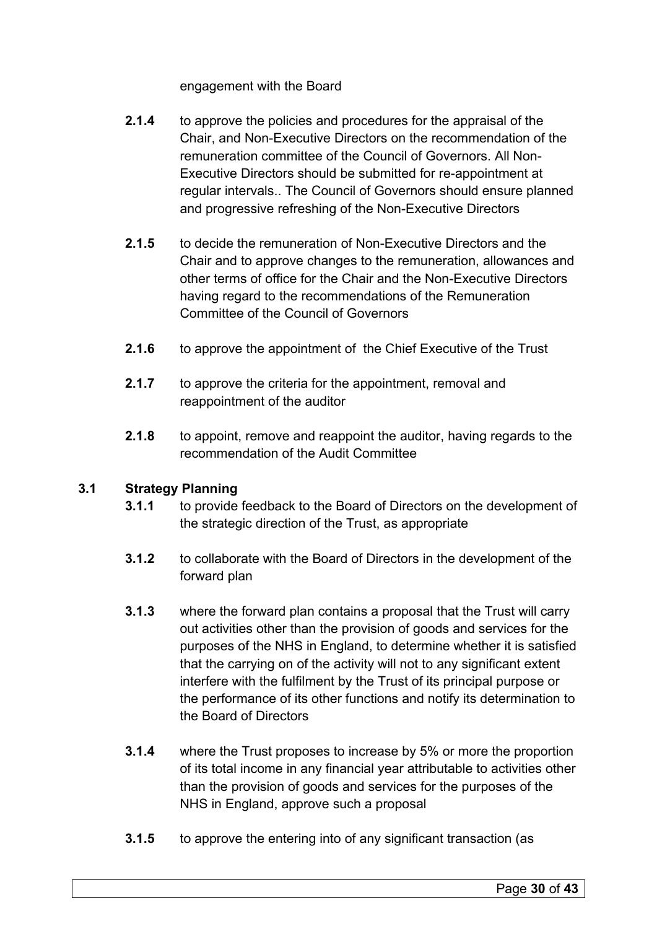engagement with the Board

- **2.1.4** to approve the policies and procedures for the appraisal of the Chair, and Non-Executive Directors on the recommendation of the remuneration committee of the Council of Governors. All Non-Executive Directors should be submitted for re-appointment at regular intervals.. The Council of Governors should ensure planned and progressive refreshing of the Non-Executive Directors
- **2.1.5** to decide the remuneration of Non-Executive Directors and the Chair and to approve changes to the remuneration, allowances and other terms of office for the Chair and the Non-Executive Directors having regard to the recommendations of the Remuneration Committee of the Council of Governors
- **2.1.6** to approve the appointment of the Chief Executive of the Trust
- **2.1.7** to approve the criteria for the appointment, removal and reappointment of the auditor
- **2.1.8** to appoint, remove and reappoint the auditor, having regards to the recommendation of the Audit Committee

# **3.1 Strategy Planning**

- **3.1.1** to provide feedback to the Board of Directors on the development of the strategic direction of the Trust, as appropriate
- **3.1.2** to collaborate with the Board of Directors in the development of the forward plan
- **3.1.3** where the forward plan contains a proposal that the Trust will carry out activities other than the provision of goods and services for the purposes of the NHS in England, to determine whether it is satisfied that the carrying on of the activity will not to any significant extent interfere with the fulfilment by the Trust of its principal purpose or the performance of its other functions and notify its determination to the Board of Directors
- **3.1.4** where the Trust proposes to increase by 5% or more the proportion of its total income in any financial year attributable to activities other than the provision of goods and services for the purposes of the NHS in England, approve such a proposal
- **3.1.5** to approve the entering into of any significant transaction (as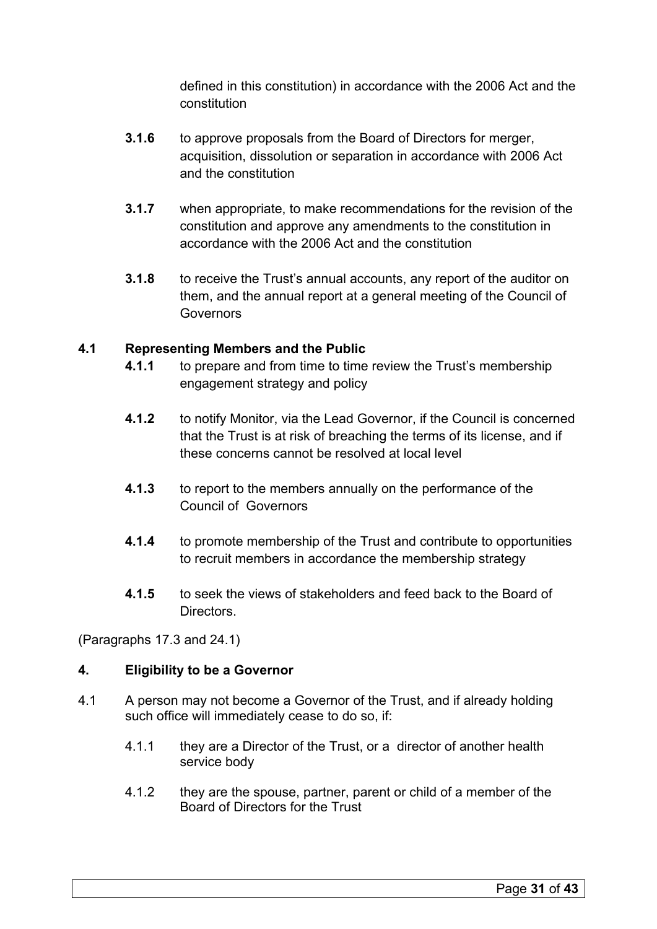defined in this constitution) in accordance with the 2006 Act and the constitution

- **3.1.6** to approve proposals from the Board of Directors for merger, acquisition, dissolution or separation in accordance with 2006 Act and the constitution
- **3.1.7** when appropriate, to make recommendations for the revision of the constitution and approve any amendments to the constitution in accordance with the 2006 Act and the constitution
- **3.1.8** to receive the Trust's annual accounts, any report of the auditor on them, and the annual report at a general meeting of the Council of Governors

# **4.1 Representing Members and the Public**

- **4.1.1** to prepare and from time to time review the Trust's membership engagement strategy and policy
- **4.1.2** to notify Monitor, via the Lead Governor, if the Council is concerned that the Trust is at risk of breaching the terms of its license, and if these concerns cannot be resolved at local level
- **4.1.3** to report to the members annually on the performance of the Council of Governors
- **4.1.4** to promote membership of the Trust and contribute to opportunities to recruit members in accordance the membership strategy
- **4.1.5** to seek the views of stakeholders and feed back to the Board of **Directors**

(Paragraphs 17.3 and 24.1)

# **4. Eligibility to be a Governor**

- 4.1 A person may not become a Governor of the Trust, and if already holding such office will immediately cease to do so, if:
	- 4.1.1 they are a Director of the Trust, or a director of another health service body
	- 4.1.2 they are the spouse, partner, parent or child of a member of the Board of Directors for the Trust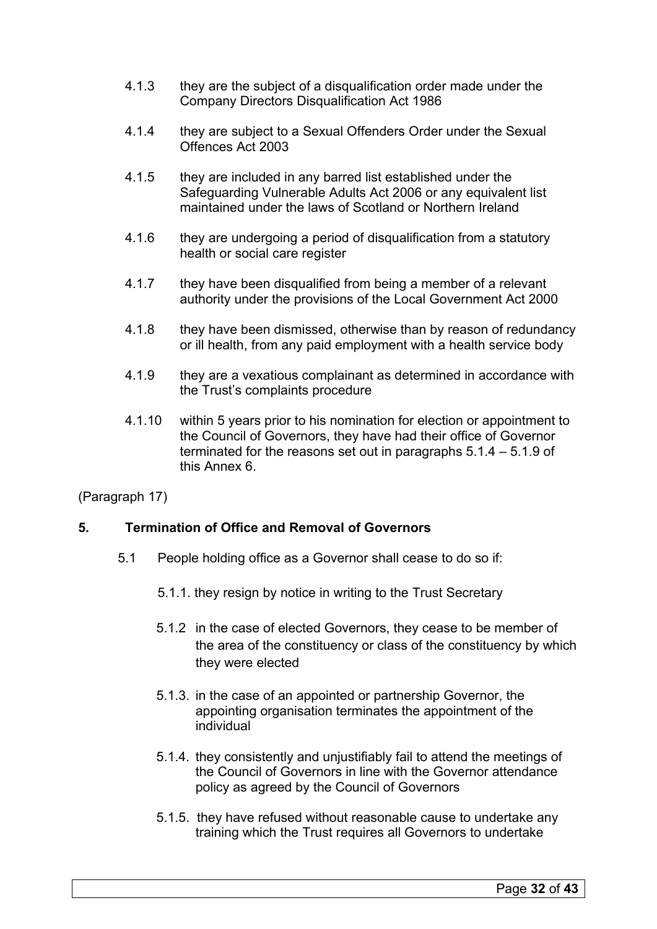- 4.1.3 they are the subject of a disqualification order made under the Company Directors Disqualification Act 1986
- 4.1.4 they are subject to a Sexual Offenders Order under the Sexual Offences Act 2003
- 4.1.5 they are included in any barred list established under the Safeguarding Vulnerable Adults Act 2006 or any equivalent list maintained under the laws of Scotland or Northern Ireland
- 4.1.6 they are undergoing a period of disqualification from a statutory health or social care register
- 4.1.7 they have been disqualified from being a member of a relevant authority under the provisions of the Local Government Act 2000
- 4.1.8 they have been dismissed, otherwise than by reason of redundancy or ill health, from any paid employment with a health service body
- 4.1.9 they are a vexatious complainant as determined in accordance with the Trust's complaints procedure
- 4.1.10 within 5 years prior to his nomination for election or appointment to the Council of Governors, they have had their office of Governor terminated for the reasons set out in paragraphs 5.1.4 – 5.1.9 of this Annex 6.

(Paragraph 17)

# **5. Termination of Office and Removal of Governors**

- 5.1 People holding office as a Governor shall cease to do so if:
	- 5.1.1. they resign by notice in writing to the Trust Secretary
	- 5.1.2 in the case of elected Governors, they cease to be member of the area of the constituency or class of the constituency by which they were elected
	- 5.1.3. in the case of an appointed or partnership Governor, the appointing organisation terminates the appointment of the individual
	- 5.1.4. they consistently and unjustifiably fail to attend the meetings of the Council of Governors in line with the Governor attendance policy as agreed by the Council of Governors
	- 5.1.5. they have refused without reasonable cause to undertake any training which the Trust requires all Governors to undertake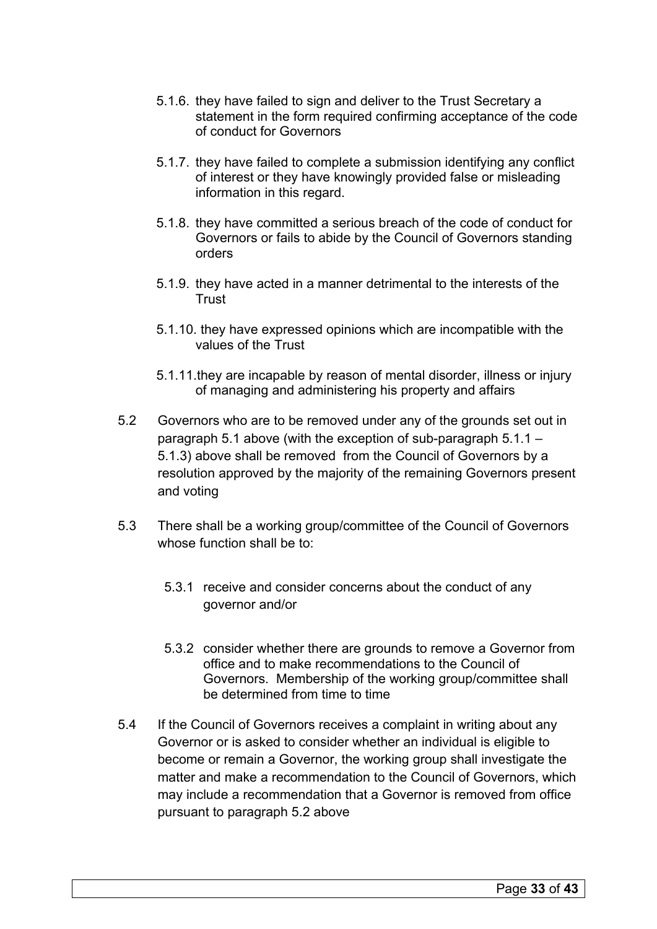- 5.1.6. they have failed to sign and deliver to the Trust Secretary a statement in the form required confirming acceptance of the code of conduct for Governors
- 5.1.7. they have failed to complete a submission identifying any conflict of interest or they have knowingly provided false or misleading information in this regard.
- 5.1.8. they have committed a serious breach of the code of conduct for Governors or fails to abide by the Council of Governors standing orders
- 5.1.9. they have acted in a manner detrimental to the interests of the **Trust**
- 5.1.10. they have expressed opinions which are incompatible with the values of the Trust
- 5.1.11.they are incapable by reason of mental disorder, illness or injury of managing and administering his property and affairs
- 5.2 Governors who are to be removed under any of the grounds set out in paragraph 5.1 above (with the exception of sub-paragraph 5.1.1 – 5.1.3) above shall be removed from the Council of Governors by a resolution approved by the majority of the remaining Governors present and voting
- 5.3 There shall be a working group/committee of the Council of Governors whose function shall be to:
	- 5.3.1 receive and consider concerns about the conduct of any governor and/or
	- 5.3.2 consider whether there are grounds to remove a Governor from office and to make recommendations to the Council of Governors. Membership of the working group/committee shall be determined from time to time
- 5.4 If the Council of Governors receives a complaint in writing about any Governor or is asked to consider whether an individual is eligible to become or remain a Governor, the working group shall investigate the matter and make a recommendation to the Council of Governors, which may include a recommendation that a Governor is removed from office pursuant to paragraph 5.2 above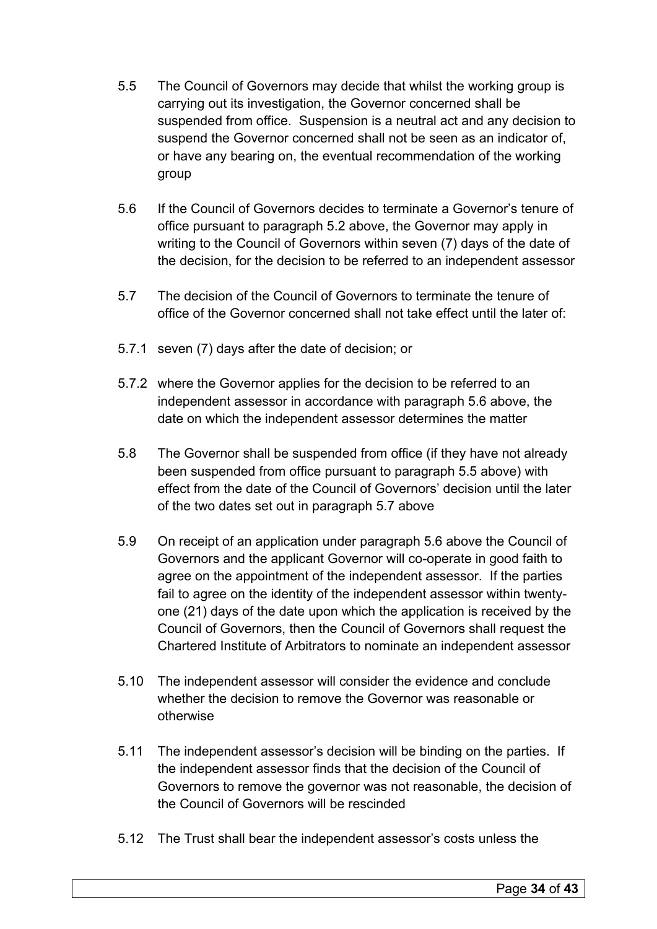- 5.5 The Council of Governors may decide that whilst the working group is carrying out its investigation, the Governor concerned shall be suspended from office. Suspension is a neutral act and any decision to suspend the Governor concerned shall not be seen as an indicator of, or have any bearing on, the eventual recommendation of the working group
- 5.6 If the Council of Governors decides to terminate a Governor's tenure of office pursuant to paragraph 5.2 above, the Governor may apply in writing to the Council of Governors within seven (7) days of the date of the decision, for the decision to be referred to an independent assessor
- 5.7 The decision of the Council of Governors to terminate the tenure of office of the Governor concerned shall not take effect until the later of:
- 5.7.1 seven (7) days after the date of decision; or
- 5.7.2 where the Governor applies for the decision to be referred to an independent assessor in accordance with paragraph 5.6 above, the date on which the independent assessor determines the matter
- 5.8 The Governor shall be suspended from office (if they have not already been suspended from office pursuant to paragraph 5.5 above) with effect from the date of the Council of Governors' decision until the later of the two dates set out in paragraph 5.7 above
- 5.9 On receipt of an application under paragraph 5.6 above the Council of Governors and the applicant Governor will co-operate in good faith to agree on the appointment of the independent assessor. If the parties fail to agree on the identity of the independent assessor within twentyone (21) days of the date upon which the application is received by the Council of Governors, then the Council of Governors shall request the Chartered Institute of Arbitrators to nominate an independent assessor
- 5.10 The independent assessor will consider the evidence and conclude whether the decision to remove the Governor was reasonable or otherwise
- 5.11 The independent assessor's decision will be binding on the parties. If the independent assessor finds that the decision of the Council of Governors to remove the governor was not reasonable, the decision of the Council of Governors will be rescinded
- 5.12 The Trust shall bear the independent assessor's costs unless the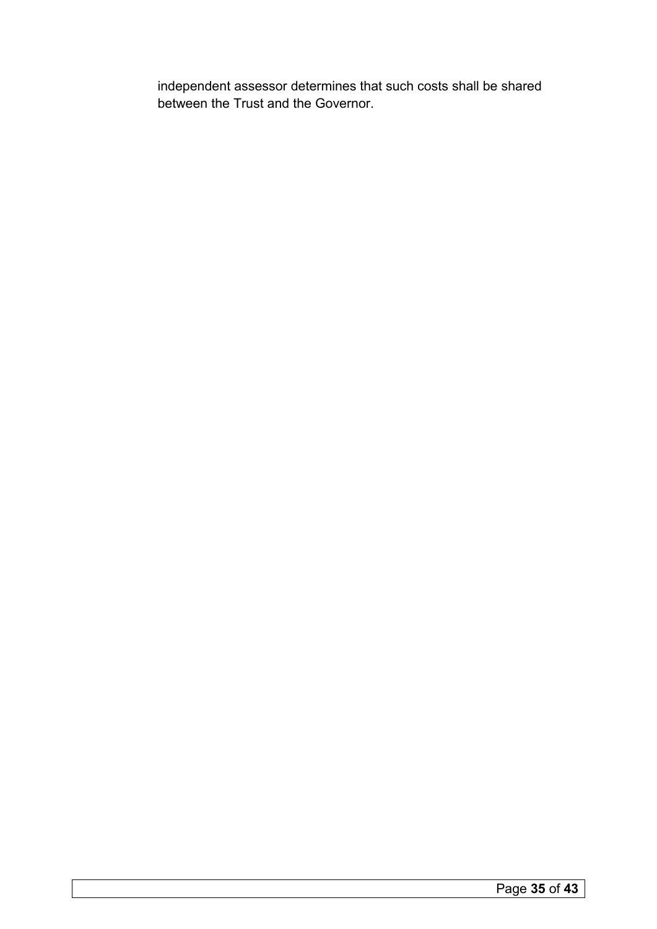independent assessor determines that such costs shall be shared between the Trust and the Governor.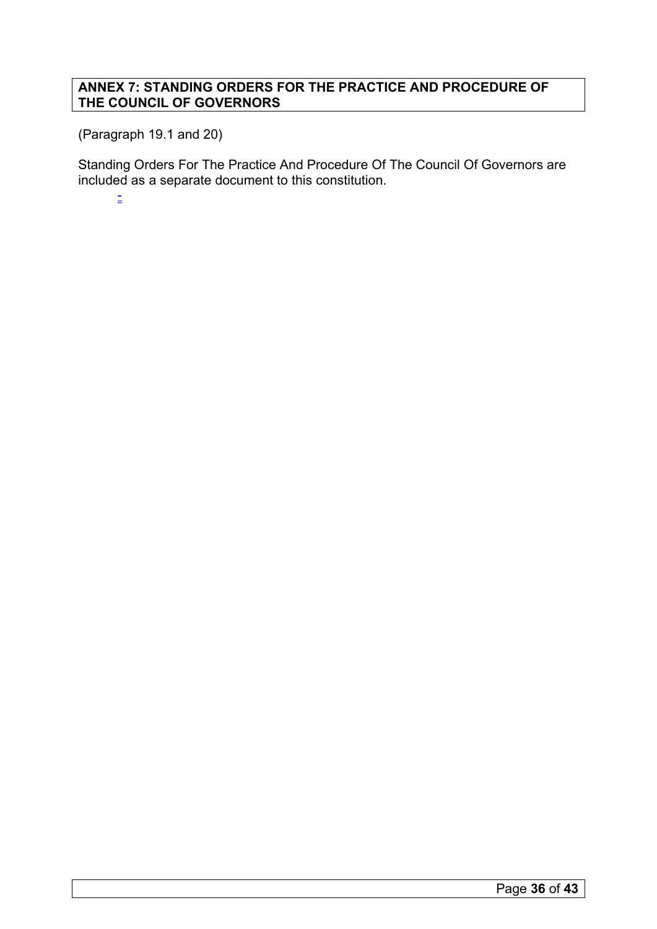# <span id="page-35-0"></span>**ANNEX 7: STANDING ORDERS FOR THE PRACTICE AND PROCEDURE OF THE COUNCIL OF GOVERNORS**

(Paragraph 19.1 and 20)

Standing Orders For The Practice And Procedure Of The Council Of Governors are included as a separate document to this constitution.

-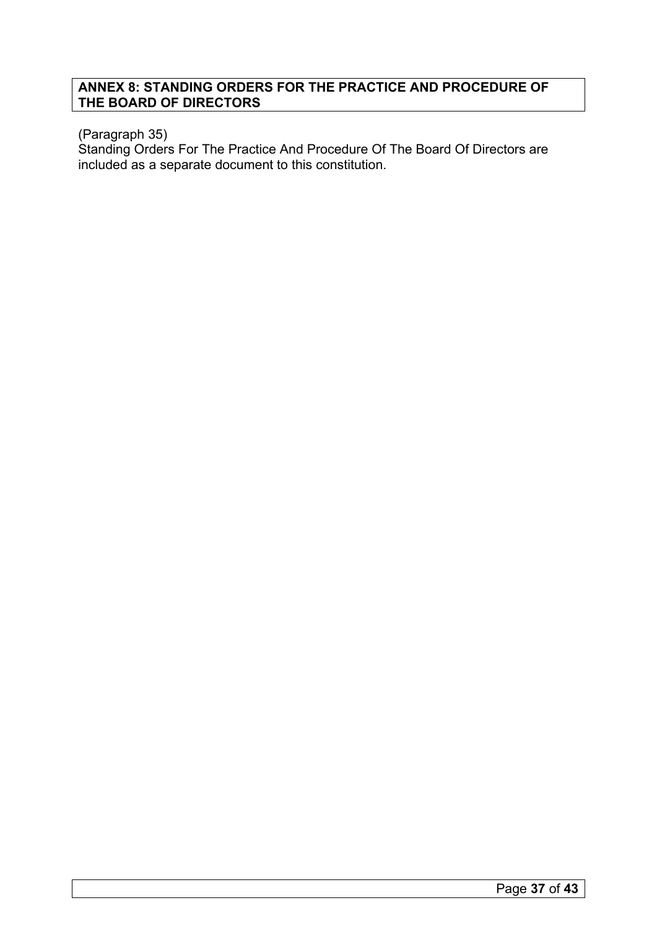# <span id="page-36-0"></span>**ANNEX 8: STANDING ORDERS FOR THE PRACTICE AND PROCEDURE OF THE BOARD OF DIRECTORS**

# (Paragraph 35)

Standing Orders For The Practice And Procedure Of The Board Of Directors are included as a separate document to this constitution.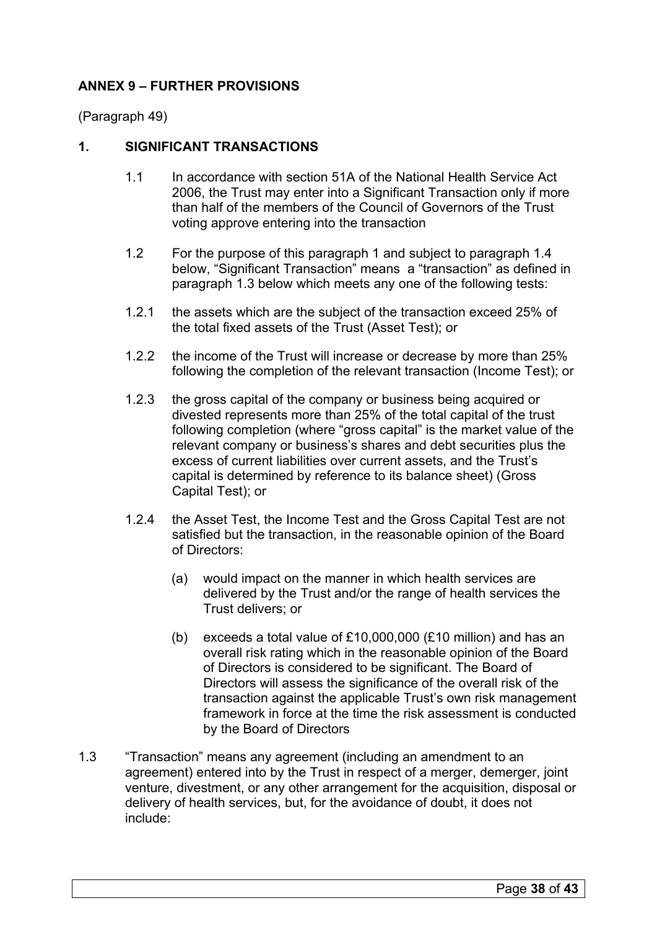# **ANNEX 9 – FURTHER PROVISIONS**

(Paragraph 49)

# **1. SIGNIFICANT TRANSACTIONS**

- 1.1 In accordance with section 51A of the National Health Service Act 2006, the Trust may enter into a Significant Transaction only if more than half of the members of the Council of Governors of the Trust voting approve entering into the transaction
- 1.2 For the purpose of this paragraph 1 and subject to paragraph 1.4 below, "Significant Transaction" means a "transaction" as defined in paragraph 1.3 below which meets any one of the following tests:
- 1.2.1 the assets which are the subject of the transaction exceed 25% of the total fixed assets of the Trust (Asset Test); or
- 1.2.2 the income of the Trust will increase or decrease by more than 25% following the completion of the relevant transaction (Income Test); or
- 1.2.3 the gross capital of the company or business being acquired or divested represents more than 25% of the total capital of the trust following completion (where "gross capital" is the market value of the relevant company or business's shares and debt securities plus the excess of current liabilities over current assets, and the Trust's capital is determined by reference to its balance sheet) (Gross Capital Test); or
- 1.2.4 the Asset Test, the Income Test and the Gross Capital Test are not satisfied but the transaction, in the reasonable opinion of the Board of Directors:
	- (a) would impact on the manner in which health services are delivered by the Trust and/or the range of health services the Trust delivers; or
	- (b) exceeds a total value of £10,000,000 (£10 million) and has an overall risk rating which in the reasonable opinion of the Board of Directors is considered to be significant. The Board of Directors will assess the significance of the overall risk of the transaction against the applicable Trust's own risk management framework in force at the time the risk assessment is conducted by the Board of Directors
- 1.3 "Transaction" means any agreement (including an amendment to an agreement) entered into by the Trust in respect of a merger, demerger, joint venture, divestment, or any other arrangement for the acquisition, disposal or delivery of health services, but, for the avoidance of doubt, it does not include: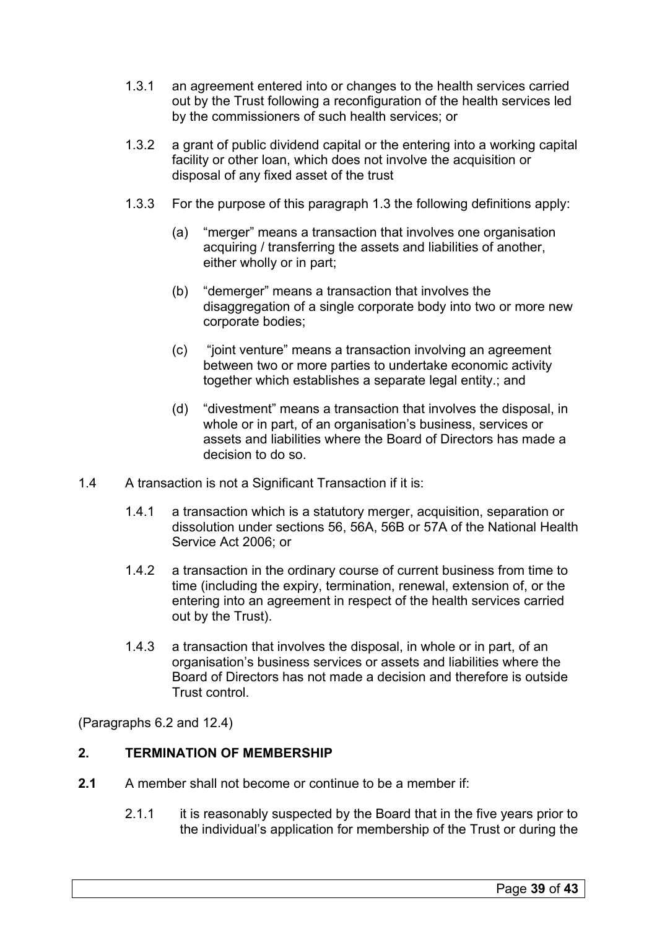- 1.3.1 an agreement entered into or changes to the health services carried out by the Trust following a reconfiguration of the health services led by the commissioners of such health services; or
- 1.3.2 a grant of public dividend capital or the entering into a working capital facility or other loan, which does not involve the acquisition or disposal of any fixed asset of the trust
- 1.3.3 For the purpose of this paragraph 1.3 the following definitions apply:
	- (a) "merger" means a transaction that involves one organisation acquiring / transferring the assets and liabilities of another, either wholly or in part;
	- (b) "demerger" means a transaction that involves the disaggregation of a single corporate body into two or more new corporate bodies;
	- (c) "joint venture" means a transaction involving an agreement between two or more parties to undertake economic activity together which establishes a separate legal entity.; and
	- (d) "divestment" means a transaction that involves the disposal, in whole or in part, of an organisation's business, services or assets and liabilities where the Board of Directors has made a decision to do so.
- 1.4 A transaction is not a Significant Transaction if it is:
	- 1.4.1 a transaction which is a statutory merger, acquisition, separation or dissolution under sections 56, 56A, 56B or 57A of the National Health Service Act 2006; or
	- 1.4.2 a transaction in the ordinary course of current business from time to time (including the expiry, termination, renewal, extension of, or the entering into an agreement in respect of the health services carried out by the Trust).
	- 1.4.3 a transaction that involves the disposal, in whole or in part, of an organisation's business services or assets and liabilities where the Board of Directors has not made a decision and therefore is outside Trust control.

(Paragraphs 6.2 and 12.4)

# **2. TERMINATION OF MEMBERSHIP**

- **2.1** A member shall not become or continue to be a member if:
	- 2.1.1 it is reasonably suspected by the Board that in the five years prior to the individual's application for membership of the Trust or during the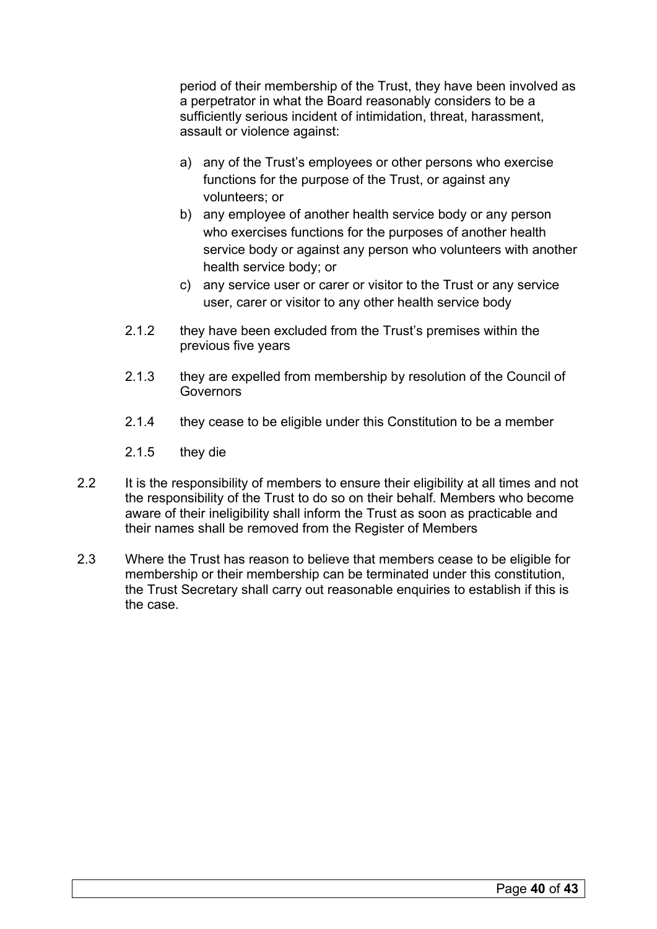period of their membership of the Trust, they have been involved as a perpetrator in what the Board reasonably considers to be a sufficiently serious incident of intimidation, threat, harassment, assault or violence against:

- a) any of the Trust's employees or other persons who exercise functions for the purpose of the Trust, or against any volunteers; or
- b) any employee of another health service body or any person who exercises functions for the purposes of another health service body or against any person who volunteers with another health service body; or
- c) any service user or carer or visitor to the Trust or any service user, carer or visitor to any other health service body
- 2.1.2 they have been excluded from the Trust's premises within the previous five years
- 2.1.3 they are expelled from membership by resolution of the Council of Governors
- 2.1.4 they cease to be eligible under this Constitution to be a member
- 2.1.5 they die
- 2.2 It is the responsibility of members to ensure their eligibility at all times and not the responsibility of the Trust to do so on their behalf. Members who become aware of their ineligibility shall inform the Trust as soon as practicable and their names shall be removed from the Register of Members
- 2.3 Where the Trust has reason to believe that members cease to be eligible for membership or their membership can be terminated under this constitution, the Trust Secretary shall carry out reasonable enquiries to establish if this is the case.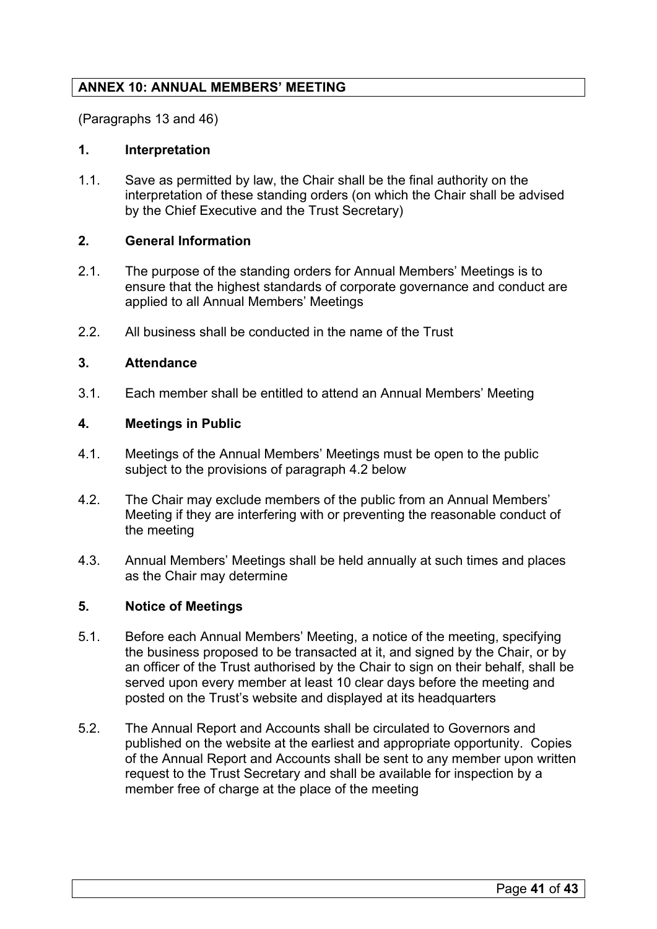# <span id="page-40-0"></span>**ANNEX 10: ANNUAL MEMBERS' MEETING**

(Paragraphs 13 and 46)

# **1. Interpretation**

1.1. Save as permitted by law, the Chair shall be the final authority on the interpretation of these standing orders (on which the Chair shall be advised by the Chief Executive and the Trust Secretary)

# **2. General Information**

- 2.1. The purpose of the standing orders for Annual Members' Meetings is to ensure that the highest standards of corporate governance and conduct are applied to all Annual Members' Meetings
- 2.2. All business shall be conducted in the name of the Trust

# **3. Attendance**

3.1. Each member shall be entitled to attend an Annual Members' Meeting

# **4. Meetings in Public**

- 4.1. Meetings of the Annual Members' Meetings must be open to the public subject to the provisions of paragraph 4.2 below
- 4.2. The Chair may exclude members of the public from an Annual Members' Meeting if they are interfering with or preventing the reasonable conduct of the meeting
- 4.3. Annual Members' Meetings shall be held annually at such times and places as the Chair may determine

# **5. Notice of Meetings**

- 5.1. Before each Annual Members' Meeting, a notice of the meeting, specifying the business proposed to be transacted at it, and signed by the Chair, or by an officer of the Trust authorised by the Chair to sign on their behalf, shall be served upon every member at least 10 clear days before the meeting and posted on the Trust's website and displayed at its headquarters
- 5.2. The Annual Report and Accounts shall be circulated to Governors and published on the website at the earliest and appropriate opportunity. Copies of the Annual Report and Accounts shall be sent to any member upon written request to the Trust Secretary and shall be available for inspection by a member free of charge at the place of the meeting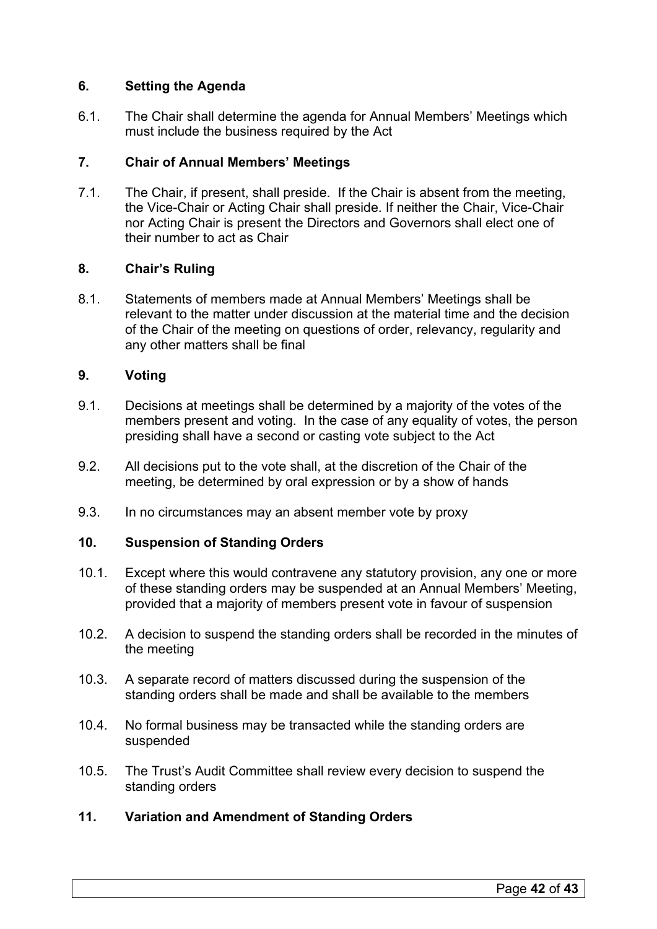# **6. Setting the Agenda**

6.1. The Chair shall determine the agenda for Annual Members' Meetings which must include the business required by the Act

# **7. Chair of Annual Members' Meetings**

7.1. The Chair, if present, shall preside. If the Chair is absent from the meeting, the Vice-Chair or Acting Chair shall preside. If neither the Chair, Vice-Chair nor Acting Chair is present the Directors and Governors shall elect one of their number to act as Chair

# **8. Chair's Ruling**

8.1. Statements of members made at Annual Members' Meetings shall be relevant to the matter under discussion at the material time and the decision of the Chair of the meeting on questions of order, relevancy, regularity and any other matters shall be final

# **9. Voting**

- 9.1. Decisions at meetings shall be determined by a majority of the votes of the members present and voting. In the case of any equality of votes, the person presiding shall have a second or casting vote subject to the Act
- 9.2. All decisions put to the vote shall, at the discretion of the Chair of the meeting, be determined by oral expression or by a show of hands
- 9.3. In no circumstances may an absent member vote by proxy

# **10. Suspension of Standing Orders**

- 10.1. Except where this would contravene any statutory provision, any one or more of these standing orders may be suspended at an Annual Members' Meeting, provided that a majority of members present vote in favour of suspension
- 10.2. A decision to suspend the standing orders shall be recorded in the minutes of the meeting
- 10.3. A separate record of matters discussed during the suspension of the standing orders shall be made and shall be available to the members
- 10.4. No formal business may be transacted while the standing orders are suspended
- 10.5. The Trust's Audit Committee shall review every decision to suspend the standing orders
- **11. Variation and Amendment of Standing Orders**